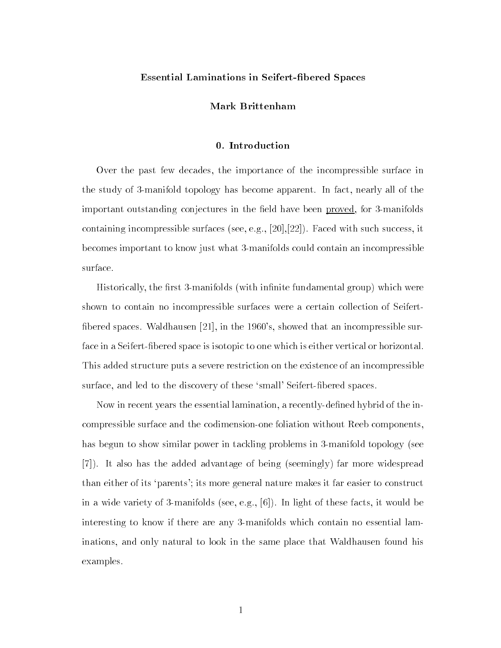# Essential Laminations in Seifert-bered Spaces

### Mark Brittenham

#### 0. Introduction

Over the past few decades, the importance of the incompressible surface in the study of 3-manifold topology has become apparent. In fact, nearly all of the important outstanding conjectures in the field have been proved, for 3-manifolds containing incompressible surfaces (see, e.g., [20],[22]). Faced with such success, it becomes important to know just what 3-manifolds could contain an incompressible surface.

Historically, the first 3-manifolds (with infinite fundamental group) which were shown to contain no incompressible surfaces were a certain collection of Seifert fibered spaces. Waldhausen  $[21]$ , in the 1960's, showed that an incompressible surface in a Seifert-fibered space is isotopic to one which is either vertical or horizontal. This added structure puts a severe restriction on the existence of an incompressible surface, and led to the discovery of these 'small' Seifert-fibered spaces.

Now in recent years the essential lamination, a recently-dened hybrid of the incompressible surface and the codimension-one foliation without Reeb components, has begun to show similar power in tackling problems in 3-manifold topology (see [7]). It also has the added advantage of being (seemingly) far more widespread than either of its `parents'; its more general nature makes it far easier to construct in a wide variety of 3-manifolds (see, e.g., [6]). In light of these facts, it would be interesting to know if there are any 3-manifolds which contain no essential laminations, and only natural to look in the same place that Waldhausen found his examples.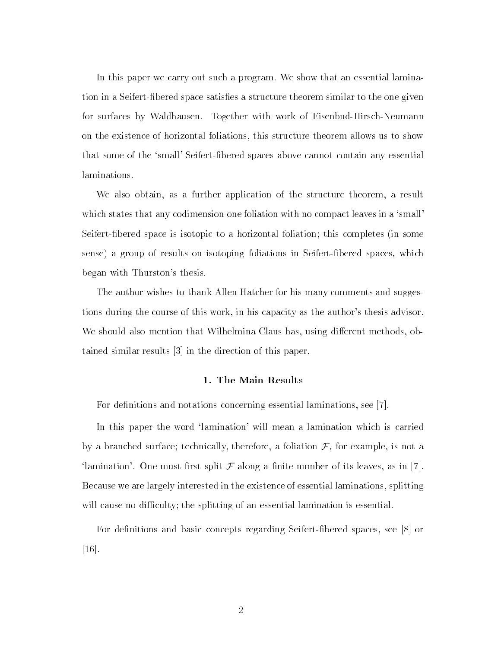In this paper we carry out such a program. We show that an essential lamination in a Seifert-fibered space satisfies a structure theorem similar to the one given for surfaces by Waldhausen. Together with work of Eisenbud-Hirsch-Neumann on the existence of horizontal foliations, this structure theorem allows us to show that some of the `small' Seifert-bered spaces above cannot contain any essential laminations.

We also obtain, as a further application of the structure theorem, a result which states that any codimension-one foliation with no compact leaves in a 'small' Seifert-bered space is isotopic to a horizontal foliation; this completes (in some sense) a group of results on isotoping foliations in Seifert-bered spaces, which began with Thurston's thesis.

The author wishes to thank Allen Hatcher for his many comments and suggestions during the course of this work, in his capacity as the author's thesis advisor. We should also mention that Wilhelmina Claus has, using different methods, obtained similar results [3] in the direction of this paper.

#### 1. The Main Results

For definitions and notations concerning essential laminations, see  $|7|$ .

In this paper the word 'lamination' will mean a lamination which is carried by a branched surface; technically, therefore, a foliation  $\mathcal{F}$ , for example, is not a 'lamination'. One must first split  $\mathcal F$  along a finite number of its leaves, as in [7]. Because we are largely interested in the existence of essential laminations, splitting will cause no difficulty; the splitting of an essential lamination is essential.

For definitions and basic concepts regarding Seifert-fibered spaces, see [8] or [16].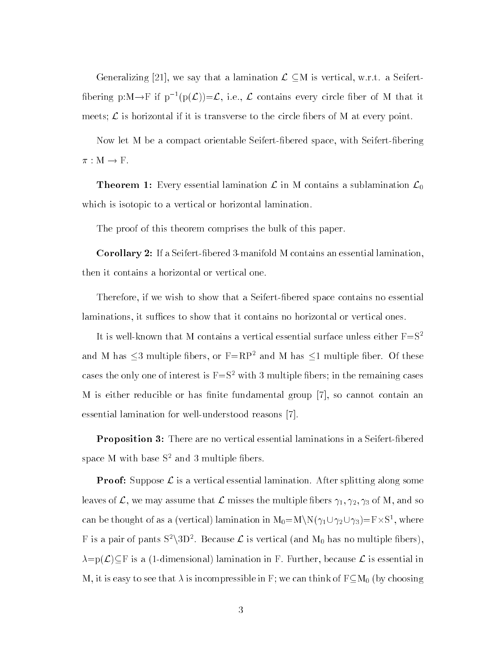Generalizing [21], we say that a lamination  $\mathcal{L} \subseteq M$  is vertical, w.r.t. a Seifertfibering p:M $\rightarrow$ F if p<sup>-1</sup>(p( $\mathcal{L}$ ))= $\mathcal{L}$ , i.e.,  $\mathcal{L}$  contains every circle fiber of M that it meets;  $\mathcal L$  is horizontal if it is transverse to the circle fibers of M at every point.

Now let M be a compact orientable Seifert-bered space, with Seifert-bering  $\pi : M \to F.$ 

**Theorem 1:** Every essential lamination  $\mathcal{L}$  in M contains a sublamination  $\mathcal{L}_0$ which is isotopic to a vertical or horizontal lamination.

The proof of this theorem comprises the bulk of this paper.

Corollary 2: If a Seifert-bered 3-manifold M contains an essential lamination, then it contains a horizontal or vertical one.

Therefore, if we wish to show that a Seifert-bered space contains no essential laminations, it suffices to show that it contains no horizontal or vertical ones.

It is well-known that M contains a vertical essential surface unless either  $F=S^2$ and M has  $\leq$ 3 multiple fibers, or F=RP<sup>2</sup> and M has  $\leq$ 1 multiple fiber. Of these cases the only one of interest is  $F = S^2$  with 3 multiple fibers; in the remaining cases M is either reducible or has finite fundamental group  $[7]$ , so cannot contain an essential lamination for well-understood reasons [7].

**Proposition 3:** There are no vertical essential laminations in a Seifert-fibered space M with base  $S<sup>2</sup>$  and 3 multiple fibers.

**Proof:** Suppose  $\mathcal{L}$  is a vertical essential lamination. After splitting along some leaves of  $\mathcal{L}$ , we may assume that  $\mathcal{L}$  misses the multiple fibers  $\gamma_1, \gamma_2, \gamma_3$  of M, and so can be thought of as a (vertical) lamination in  $\mathrm{M}_0{=}\mathrm{M}\backslash \mathrm{N}(\gamma_1 {\cup} \gamma_2 {\cup} \gamma_3){=}\mathrm{F}{\times}\mathrm{S}^1,$  where F is a pair of pants  $S^2\backslash 3D^2$ . Because  ${\cal L}$  is vertical (and  $M_0$  has no multiple fibers),  $\lambda = p(\mathcal{L}) \subseteq F$  is a (1-dimensional) lamination in F. Further, because  $\mathcal{L}$  is essential in M, it is easy to see that  $\lambda$  is incompressible in F; we can think of  $F\subseteq M_0$  (by choosing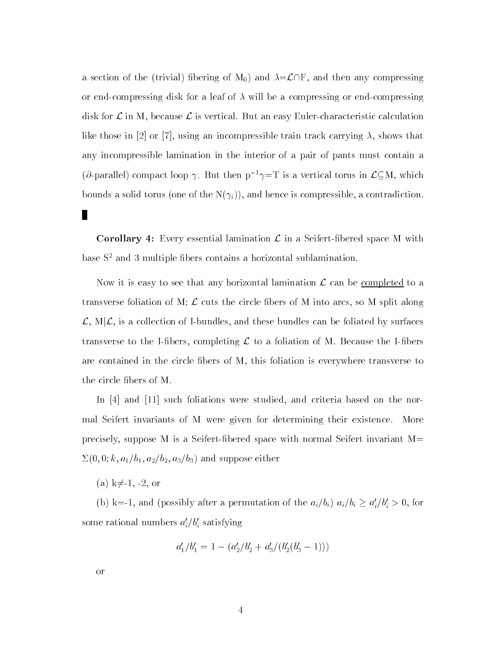a section of the (trivial) fibering of  $M_0$ ) and  $\lambda = \mathcal{L} \cap F$ , and then any compressing or end-compressing disk for a leaf of  $\lambda$  will be a compressing or end-compressing disk for  $\mathcal L$  in M, because  $\mathcal L$  is vertical. But an easy Euler-characteristic calculation like those in [2] or [7], using an incompressible train track carrying  $\lambda$ , shows that any incompressible lamination in the interior of a pair of pants must contain a ( $\partial$ -parallel) compact loop  $\gamma$ . But then  $p^{-1}\gamma=T$  is a vertical torus in  $\mathcal{L}\subseteq M$ , which bounds a solid torus (one of the  $N(\gamma_i)$ ), and hence is compressible, a contradiction.

**Corollary 4:** Every essential lamination  $\mathcal{L}$  in a Seifert-fibered space M with base  $S^2$  and 3 multiple fibers contains a horizontal sublamination.

Now it is easy to see that any horizontal lamination  $\mathcal L$  can be <u>completed</u> to a transverse foliation of M;  $\mathcal L$  cuts the circle fibers of M into arcs, so M split along  $\mathcal{L}, M|\mathcal{L}$ , is a collection of I-bundles, and these bundles can be foliated by surfaces transverse to the I-fibers, completing  $\mathcal L$  to a foliation of M. Because the I-fibers are contained in the circle bers of M, this foliation is everywhere transverse to the circle bers of M.

In [4] and [11] such foliations were studied, and criteria based on the normal Seifert invariants of M were given for determining their existence. More precisely, suppose M is a Seifert-bered space with normal Seifert invariant M=  $\Sigma(0,0; k, a_1/b_1, a_2/b_2, a_3/b_3)$  and suppose either

(a) k $\neq$ -1, -2, or

(b) k=-1, and (possibly after a permutation of the  $a_i/b_i$ )  $a_i/b_i \ge a'_i/b'_i > 0$ , for some rational numbers  $a_i/\bar{v_i}$  satisfying

$$
a'_1/b'_1 = 1 - (a'_2/b'_2 + a'_3/(b'_2(b'_3 - 1)))
$$

or

П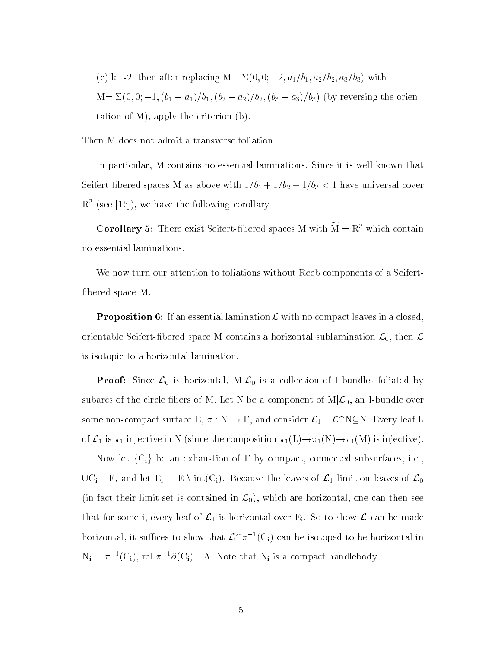(c) k=-2; then after replacing M=  $\Sigma(0, 0; -2, a_1/b_1, a_2/b_2, a_3/b_3)$  with  $M = \sum (0, 0; -1, (b_1 - a_1)/b_1, (b_2 - a_2)/b_2, (b_3 - a_3)/b_3)$  (by reversing the orientation of M), apply the criterion (b).

Then M does not admit a transverse foliation.

In particular, M contains no essential laminations. Since it is well known that Seifert-fibered spaces M as above with  $1/b_1 + 1/b_2 + 1/b_3 < 1$  have universal cover  $R<sup>3</sup>$  (see [16]), we have the following corollary.

**Corollary 5:** There exist Seifert-fibered spaces M with  $\widetilde{M} = R^3$  which contain no essential laminations.

We now turn our attention to foliations without Reeb components of a Seifert bered space M.

**Proposition 6:** If an essential lamination  $\mathcal{L}$  with no compact leaves in a closed, orientable Seifert-fibered space M contains a horizontal sublamination  $\mathcal{L}_0$ , then  $\mathcal L$ is isotopic to a horizontal lamination.

**Proof:** Since  $\mathcal{L}_0$  is horizontal, M $|\mathcal{L}_0$  is a collection of I-bundles foliated by subarcs of the circle fibers of M. Let N be a component of  $M|\mathcal{L}_0$ , an I-bundle over some non-compact surface E,  $\pi : N \to E$ , and consider  $\mathcal{L}_1 = \mathcal{L} \cap N \subseteq N$ . Every leaf L of  $\mathcal{L}_1$  is  $\pi_1$ -injective in N (since the composition  $\pi_1(L) \to \pi_1(N) \to \pi_1(M)$  is injective).

Now let  ${C_i}$  be an exhaustion of E by compact, connected subsurfaces, i.e.,  $\cup C_i = E$ , and let  $E_i = E \setminus int(C_i)$ . Because the leaves of  $\mathcal{L}_1$  limit on leaves of  $\mathcal{L}_0$ (in fact their limit set is contained in  $\mathcal{L}_0$ ), which are horizontal, one can then see that for some i, every leaf of  $\mathcal{L}_1$  is horizontal over E<sub>i</sub>. So to show  $\mathcal{L}$  can be made horizontal, it suffices to show that  $\mathcal{L}\cap \pi^{-1}(C_i)$  can be isotoped to be horizontal in  $N_i = \pi^{-1}(C_i)$ , rel  $\pi^{-1}\partial(C_i) = A$ . Note that  $N_i$  is a compact handlebody.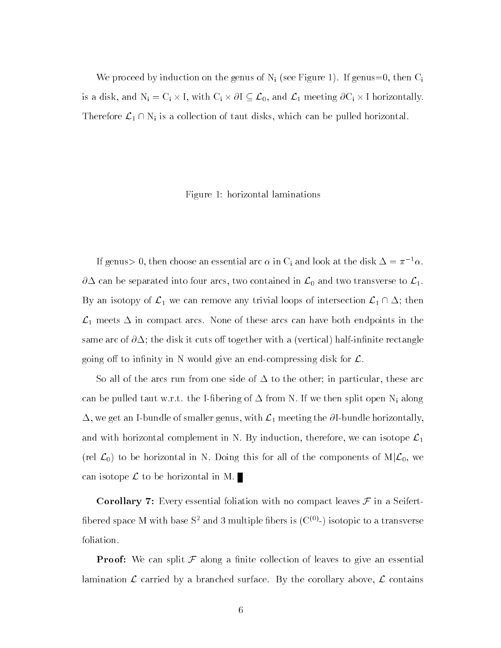We proceed by induction on the genus of  $N_i$  (see Figure 1). If genus=0, then  $C_i$ We proceed by induction on the genus of  $N_i$  (see Figure 1). If genus=0, then  $C_i$ <br>is a disk, and  $N_i = C_i \times I$ , with  $C_i \times \partial I \subseteq \mathcal{L}_0$ , and  $\mathcal{L}_1$  meeting  $\partial C_i \times I$  horizontally. Therefore  $\mathcal{L}_1 \cap N_i$  is a collection of taut disks, which can be pulled horizontal.

Figure 1: horizontal laminations

If genus > 0, then choose an essential arc  $\alpha$  in C<sub>i</sub> and look at the disk  $\Delta = \pi^{-1} \alpha$ .  $\partial\Delta$  can be separated into four arcs, two contained in  $\mathcal{L}_0$  and two transverse to  $\mathcal{L}_1$ . By an isotopy of  $\mathcal{L}_1$  we can remove any trivial loops of intersection  $\mathcal{L}_1 \cap \Delta$ ; then  $\mathcal{L}_1$  meets  $\Delta$  in compact arcs. None of these arcs can have both endpoints in the same arc of  $\partial \Delta$ ; the disk it cuts off together with a (vertical) half-infinite rectangle going off to infinity in N would give an end-compressing disk for  $\mathcal{L}$ .

So all of the arcs run from one side of  $\Delta$  to the other; in particular, these arc can be pulled taut w.r.t. the I-fibering of  $\Delta$  from N. If we then split open N<sub>i</sub> along  $\Delta$ , we get an I-bundle of smaller genus, with  $\mathcal{L}_1$  meeting the  $\partial$ I-bundle horizontally, and with horizontal complement in N. By induction, therefore, we can isotope  $\mathcal{L}_1$ (rel  $\mathcal{L}_0$ ) to be horizontal in N. Doing this for all of the components of  $M|\mathcal{L}_0$ , we can isotope  $\mathcal L$  to be horizontal in M.

**Corollary 7:** Every essential foliation with no compact leaves  $\mathcal F$  in a Seifertfibered space M with base  $S^2$  and 3 multiple fibers is  $(C^{(0)}-)$  isotopic to a transverse foliation.

**Proof:** We can split  $\mathcal F$  along a finite collection of leaves to give an essential lamination  $\mathcal L$  carried by a branched surface. By the corollary above,  $\mathcal L$  contains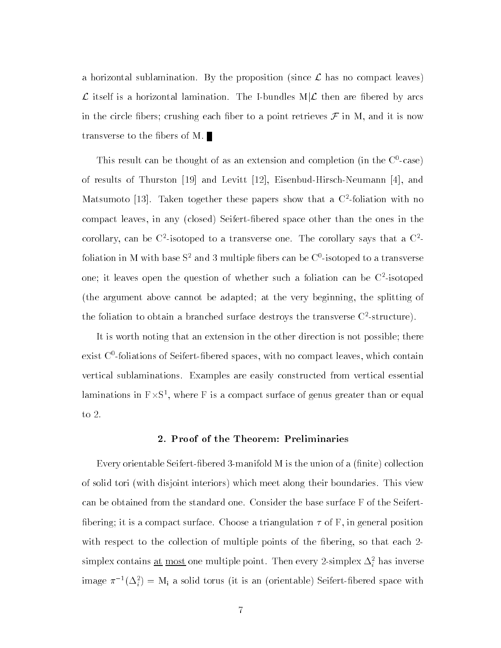a horizontal sublamination. By the proposition (since  $\mathcal L$  has no compact leaves)  $\mathcal L$  itself is a horizontal lamination. The I-bundles M $|\mathcal L$  then are fibered by arcs in the circle fibers; crushing each fiber to a point retrieves  $\mathcal F$  in M, and it is now transverse to the bers of M.

This result can be thought of as an extension and completion (in the C0 -case) of results of Thurston [19] and Levitt [12], Eisenbud-Hirsch-Neumann [4], and Matsumoto [13]. Taken together these papers show that a C2 -foliation with no compact leaves, in any (closed) Seifert-bered space other than the ones in the corollary, can be  $\cup$  -isotoped to a transverse one. The corollary says that a  $\cup$  foliation in M with base 51 and 3 multiple libers can be  $\cup$  -isotoped to a transverse one; it leaves open the question of whether such a foliation can be C2 -isotoped (the argument above cannot be adapted; at the very beginning, the splitting of the foliation to obtain a branched surface destroys the transverse  $\cup$  -structure).

It is worth noting that an extension in the other direction is not possible; there exist U -foliations of Seifert-Hbered spaces, with no compact leaves, which contain vertical sublaminations. Examples are easily constructed from vertical essential laminations in  $F \times S^1$ , where F is a compact surface of genus greater than or equal to 2.

### 2. Proof of the Theorem: Preliminaries

Every orientable Seifert-fibered 3-manifold  $M$  is the union of a (finite) collection of solid tori (with disjoint interiors) which meet along their boundaries. This view can be obtained from the standard one. Consider the base surface F of the Seifert fibering; it is a compact surface. Choose a triangulation  $\tau$  of F, in general position with respect to the collection of multiple points of the fibering, so that each 2simplex contains <u>at most</u> one multiple point. Then every 2-simplex  $\Delta_i$  has inverse image  $\pi^{-1}(\Delta_i^\tau)=\mathfrak{m}_i$  a solid torus (it is an (orientable) Seifert-fibered space with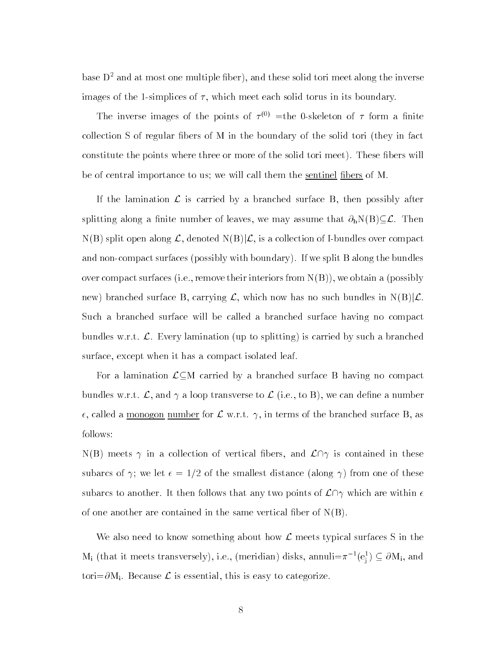base  $D^2$  and at most one multiple fiber), and these solid tori meet along the inverse images of the 1-simplices of  $\tau$ , which meet each solid torus in its boundary.

The inverse images of the points of  $\tau_{\gamma\gamma}$  =the 0-skeleton of  $\tau$  form a limite collection S of regular fibers of M in the boundary of the solid tori (they in fact constitute the points where three or more of the solid tori meet). These fibers will be of central importance to us; we will call them the sentinel fibers of M.

If the lamination  $\mathcal L$  is carried by a branched surface B, then possibly after splitting along a finite number of leaves, we may assume that  $\partial_h N(B) \subseteq \mathcal{L}$ . Then  $N(B)$  split open along  $\mathcal{L}$ , denoted  $N(B)|\mathcal{L}$ , is a collection of I-bundles over compact and non-compact surfaces (possibly with boundary). If we split B along the bundles over compact surfaces (i.e., remove their interiors from  $N(B)$ ), we obtain a (possibly new) branched surface B, carrying  $\mathcal{L}$ , which now has no such bundles in  $N(B)|\mathcal{L}$ . Such a branched surface will be called a branched surface having no compact bundles w.r.t.  $\mathcal{L}$ . Every lamination (up to splitting) is carried by such a branched surface, except when it has a compact isolated leaf.

For a lamination  $\mathcal{L}\subseteq M$  carried by a branched surface B having no compact bundles w.r.t.  $\mathcal{L}$ , and  $\gamma$  a loop transverse to  $\mathcal{L}$  (i.e., to B), we can define a number  $\epsilon$ , called a <u>monogon number</u> for  $\mathcal L$  w.r.t.  $\gamma$ , in terms of the branched surface B, as follows:

 $N(B)$  meets  $\gamma$  in a collection of vertical fibers, and  $\mathcal{L} \cap \gamma$  is contained in these subarcs of  $\gamma$ ; we let  $\epsilon = 1/2$  of the smallest distance (along  $\gamma$ ) from one of these subarcs to another. It then follows that any two points of  $\mathcal{L}\cap\gamma$  which are within  $\epsilon$ of one another are contained in the same vertical fiber of  $N(B)$ .

We also need to know something about how  $\mathcal L$  meets typical surfaces S in the  $\rm M_i$  (that it meets transversely), i.e., (meridian) disks, annuli= $\pi^{-1}(e_i^1) \subseteq \partial \rm M_i$ , and tori= $\partial M_i$ . Because  $\mathcal L$  is essential, this is easy to categorize.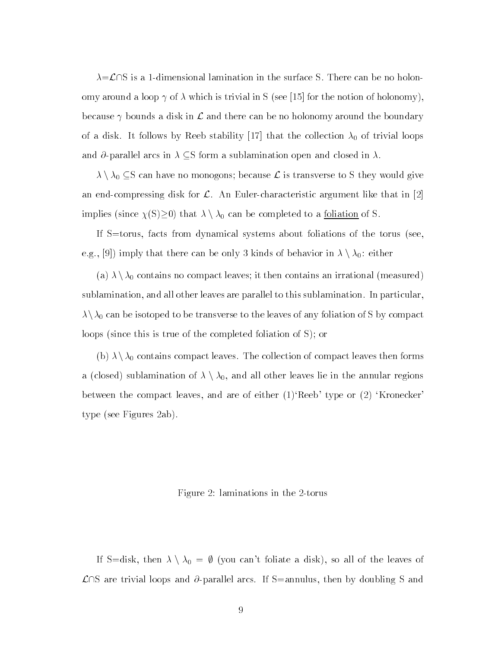$\lambda = \mathcal{L} \cap S$  is a 1-dimensional lamination in the surface S. There can be no holonomy around a loop  $\gamma$  of  $\lambda$  which is trivial in S (see [15] for the notion of holonomy), because  $\gamma$  bounds a disk in  $\mathcal L$  and there can be no holonomy around the boundary of a disk. It follows by Reeb stability [17] that the collection  $\lambda_0$  of trivial loops and  $\partial$ -parallel arcs in  $\lambda \subseteq S$  form a sublamination open and closed in  $\lambda$ .

 $\lambda \setminus \lambda_0 \subseteq S$  can have no monogons; because  $\mathcal L$  is transverse to S they would give an end-compressing disk for  $\mathcal{L}$ . An Euler-characteristic argument like that in [2] implies (since  $\chi(S)\geq 0$ ) that  $\lambda \setminus \lambda_0$  can be completed to a <u>foliation</u> of S.

If S=torus, facts from dynamical systems about foliations of the torus (see, e.g., [9]) imply that there can be only 3 kinds of behavior in  $\lambda \setminus \lambda_0$ : either

(a)  $\lambda \setminus \lambda_0$  contains no compact leaves; it then contains an irrational (measured) sublamination, and all other leaves are parallel to this sublamination. In particular,  $\lambda\setminus\lambda_0$  can be isotoped to be transverse to the leaves of any foliation of S by compact loops (since this is true of the completed foliation of S); or

(b)  $\lambda \setminus \lambda_0$  contains compact leaves. The collection of compact leaves then forms a (closed) sublamination of  $\lambda \setminus \lambda_0$ , and all other leaves lie in the annular regions between the compact leaves, and are of either  $(1)$  Reeb' type or  $(2)$  'Kronecker' type (see Figures 2ab).

# Figure 2: laminations in the 2-torus

If S=disk, then  $\lambda \setminus \lambda_0 = \emptyset$  (you can't foliate a disk), so all of the leaves of  $\mathcal{L} \cap S$  are trivial loops and  $\partial$ -parallel arcs. If S=annulus, then by doubling S and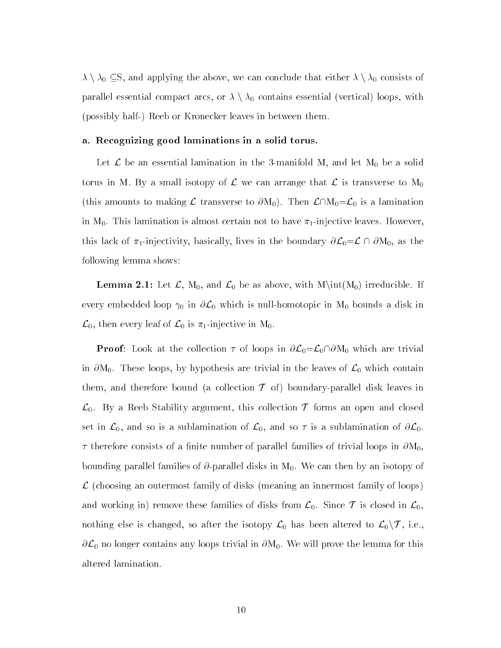$\lambda \setminus \lambda_0 \subseteq S$ , and applying the above, we can conclude that either  $\lambda \setminus \lambda_0$  consists of parallel essential compact arcs, or  $\lambda \setminus \lambda_0$  contains essential (vertical) loops, with (possibly half-) Reeb or Kronecker leaves in between them.

### a. Recognizing good laminations in a solid torus.

Let  $\mathcal L$  be an essential lamination in the 3-manifold M, and let  $\mathrm M_0$  be a solid torus in M. By a small isotopy of  $\mathcal L$  we can arrange that  $\mathcal L$  is transverse to  $M_0$ (this amounts to making L transverse to  $\partial M_0$ ). Then  $\mathcal{L}\cap M_0=\mathcal{L}_0$  is a lamination in M0. This lamination is almost certain not to have 1-injective leaves. However, in M<sub>0</sub>. This lamination is almost certain not to have  $\pi_1$ -injective leaves. However,<br>this lack of  $\pi_1$ -injectivity, basically, lives in the boundary  $\partial \mathcal{L}_0 = \mathcal{L} \cap \partial M_0$ , as the following lemma shows:

**Lemma 2.1:** Let  $\mathcal{L}$ , M<sub>0</sub>, and  $\mathcal{L}_0$  be as above, with  $M\int_{0}$  irreducible. If every embedded loop  $\gamma_0$  in  $\partial \mathcal{L}_0$  which is null-homotopic in  $M_0$  bounds a disk in  $\mathcal{L}_0$ , then every leaf of  $\mathcal{L}_0$  is  $\pi_1$ -injective in M<sub>0</sub>.

**Proof**: Look at the collection  $\tau$  of loops in  $\partial \mathcal{L}_0 = \mathcal{L}_0 \cap \partial M_0$  which are trivial in  $\partial M_0$ . These loops, by hypothesis are trivial in the leaves of  $\mathcal{L}_0$  which contain them, and therefore bound (a collection  $\mathcal T$  of) boundary-parallel disk leaves in  $\mathcal{L}_0$ . By a Reeb Stability argument, this collection T forms an open and closed set in  $\mathcal{L}_0$ , and so is a sublamination of  $\mathcal{L}_0$ , and so  $\tau$  is a sublamination of  $\partial \mathcal{L}_0$ .  $\tau$  therefore consists of a finite number of parallel families of trivial loops in  $\partial M_0$ bounding parallel families of  $\partial$ -parallel disks in  $M_0$ . We can then by an isotopy of (choosing an outermost family of disks (meaning an innermost family of loops)  $\mathbb{R}^n$  family of loops) and working in) remove these families of disks from  $\mathcal{L}_0$ . Since  $\mathcal T$  is closed in  $\mathcal{L}_0$ , nothing else is changed, so after the isotopy  $\mathcal{L}_0$  has been altered to  $\mathcal{L}_0\backslash\mathcal{T}$ , i.e.,  $\partial \mathcal{L}_0$  no longer contains any loops trivial in  $\partial M_0$ . We will prove the lemma for this altered lamination.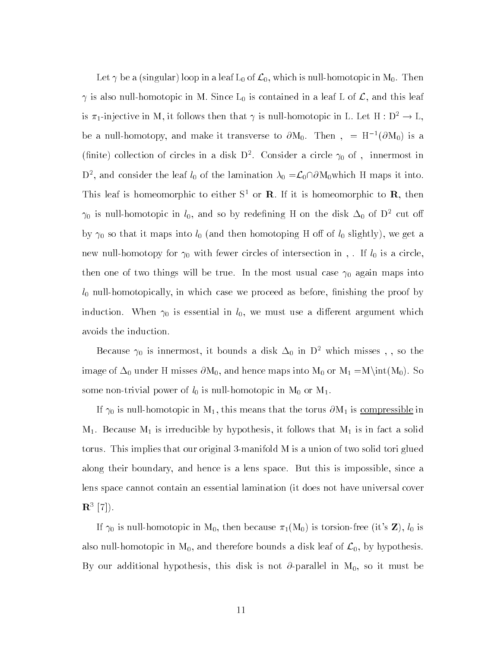Let  $\gamma$  be a (singular) loop in a leaf L<sub>0</sub> of  $\mathcal{L}_0$ , which is null-homotopic in M<sub>0</sub>. Then  $\gamma$  is also null-homotopic in M. Since  $L_0$  is contained in a leaf L of  $\mathcal{L}$ , and this leaf is  $\pi_1$ -injective in M, it follows then that  $\gamma$  is null-homotopic in L. Let H :  $D^2 \to L$ , be a null-homotopy, and make it transverse to  $\partial M_0$ . Then  $= H^{-1}(\partial M_0)$  is a (innite) conection of circles in a disk  $D$  . Consider a circle  $\gamma_0$  of , innermost in  $D^2$ , and consider the leaf  $l_0$  of the lamination  $\lambda_0 = \mathcal{L}_0 \cap \partial M_0$  which H maps it into. This leaf is homeomorphic to either  $S^1$  or **R**. If it is homeomorphic to **R**, then  $\gamma_0$  is null-homotopic in  $l_0$ , and so by redefining H on the disk  $\Delta_0$  of D<sup>2</sup> cut off by  $\gamma_0$  so that it maps into  $l_0$  (and then homotoping H off of  $l_0$  slightly), we get a new null-homotopy for  $\gamma_0$  with fewer circles of intersection in, If  $l_0$  is a circle, then one of two things will be true. In the most usual case  $\gamma_0$  again maps into  $l_0$  null-homotopically, in which case we proceed as before, finishing the proof by induction. When  $\gamma_0$  is essential in  $l_0$ , we must use a different argument which avoids the induction.

Because  $\gamma_0$  is innermost, it bounds a disk  $\Delta_0$  in  $D^2$  which misses , , so the image of  $\Delta_0$  under H misses  $\partial M_0$ , and hence maps into  $M_0$  or  $M_1 = M\int(M_0)$ . So some non-trivial power of  $l_0$  is null-homotopic in  $M_0$  or  $M_1$ .

If  $\gamma_0$  is null-homotopic in M<sub>1</sub>, this means that the torus  $\partial M_1$  is compressible in  $M_1$ . Because  $M_1$  is irreducible by hypothesis, it follows that  $M_1$  is in fact a solid torus. This implies that our original 3-manifold M is a union of two solid tori glued along their boundary, and hence is a lens space. But this is impossible, since a lens space cannot contain an essential lamination (it does not have universal cover  $R^3$  [1].

If  $\gamma_0$  is null-homotopic in M<sub>0</sub>, then because  $\pi_1(M_0)$  is torsion-free (it's **Z**),  $l_0$  is also null-homotopic in  $M_0$ , and therefore bounds a disk leaf of  $\mathcal{L}_0$ , by hypothesis. By our additional hypothesis, this disk is not  $\partial$ -parallel in M<sub>0</sub>, so it must be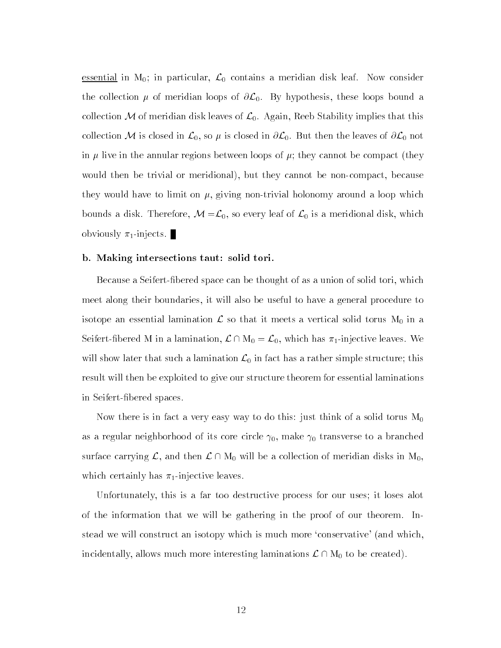essential in  $M_0$ ; in particular,  $\mathcal{L}_0$  contains a meridian disk leaf. Now consider the collection  $\mu$  of meridian loops of  $\partial \mathcal{L}_0$ . By hypothesis, these loops bound a collection M of meridian disk leaves of  $\mathcal{L}_0$ . Again, Reeb Stability implies that this collection M is closed in  $\mathcal{L}_0$ , so  $\mu$  is closed in  $\partial \mathcal{L}_0$ . But then the leaves of  $\partial \mathcal{L}_0$  not in  $\mu$  live in the annular regions between loops of  $\mu$ ; they cannot be compact (they would then be trivial or meridional), but they cannot be non-compact, because they would have to limit on  $\mu$ , giving non-trivial holonomy around a loop which bounds a disk. Therefore,  $M = \mathcal{L}_0$ , so every leaf of  $\mathcal{L}_0$  is a meridional disk, which obviously  $\pi_1$ -injects.

#### b. Making intersections taut: solid tori.

Because a Seifert-bered space can be thought of as a union of solid tori, which meet along their boundaries, it will also be useful to have a general procedure to isotope an essential lamination  $\mathcal{L}$  so that it meets a vertical solid torus  $M_0$  in a<br>Seifert-fibered M in a lamination,  $\mathcal{L} \cap M_0 = \mathcal{L}_0$ , which has  $\pi_1$ -injective leaves. We will show later that such a lamination  $\mathcal{L}_0$  in fact has a rather simple structure; this result will then be exploited to give our structure theorem for essential laminations in Seifert-bered spaces.

Now there is in fact a very easy way to do this: just think of a solid torus  $\mathrm{M}_0$  $\Omega$  as a core core circle core circle  $\Omega$  is core core circle core circle  $\Omega$ as a regular neighborhood of its core circle  $\gamma_0$ , make  $\gamma_0$  transverse to a branched<br>surface carrying  $\mathcal{L}$ , and then  $\mathcal{L} \cap M_0$  will be a collection of meridian disks in  $M_0$ , which certainly has  $\pi_1$ -injective leaves.

Unfortunately, this is a far too destructive process for our uses; it loses alot of the information that we will be gathering in the proof of our theorem. Instead we will construct an isotopy which is much more `conservative' (and which, incidentally, allows much more interesting laminations  $\mathcal{L} \cap M_0$  to be created).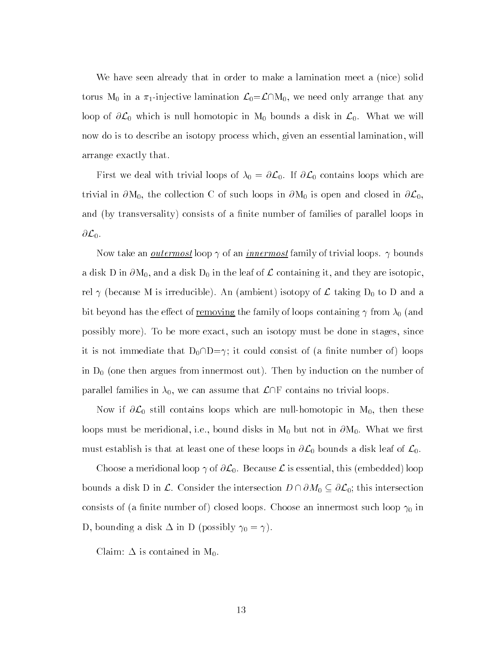We have seen already that in order to make a lamination meet a (nice) solid torus M<sub>0</sub> in a  $\pi_1$ -injective lamination  $\mathcal{L}_0 = \mathcal{L} \cap M_0$ , we need only arrange that any loop of  $\partial \mathcal{L}_0$  which is null homotopic in  $M_0$  bounds a disk in  $\mathcal{L}_0$ . What we will now do is to describe an isotopy process which, given an essential lamination, will arrange exactly that.

First we deal with trivial loops of  $\lambda_0 = \partial \mathcal{L}_0$ . If  $\partial \mathcal{L}_0$  contains loops which are trivial in  $\partial M_0$ , the collection C of such loops in  $\partial M_0$  is open and closed in  $\partial \mathcal{L}_0$ , and (by transversality) consists of a finite number of families of parallel loops in  $\partial \mathcal{L}_0$ .

Now take an <u>outermost</u> loop  $\gamma$  of an <u>innermost</u> family of trivial loops.  $\gamma$  bounds a disk D in  $\partial M_0$ , and a disk  $D_0$  in the leaf of  $\mathcal L$  containing it, and they are isotopic, rel  $\gamma$  (because M is irreducible). An (ambient) isotopy of  $\mathcal L$  taking  $D_0$  to D and a bit beyond has the effect of <u>removing</u> the family of loops containing  $\gamma$  from  $\lambda_0$  (and possibly more). To be more exact, such an isotopy must be done in stages, since it is not immediate that  $D_0 \cap D = \gamma$ ; it could consist of (a finite number of) loops in  $D_0$  (one then argues from innermost out). Then by induction on the number of parallel families in  $\lambda_0$ , we can assume that  $\mathcal{L}\cap F$  contains no trivial loops.

Now if  $\partial \mathcal{L}_0$  still contains loops which are null-homotopic in  $M_0$ , then these loops must be meridional, i.e., bound disks in  $M_0$  but not in  $\partial M_0$ . What we first must establish is that at least one of these loops in  $\partial \mathcal{L}_0$  bounds a disk leaf of  $\mathcal{L}_0$ .

Choose a meridional loop  $\gamma$  of  $\partial \mathcal{L}_0$ . Because  $\mathcal L$  is essential, this (embedded) loop bounds a disk D in L. Consider the intersection  $D \cap \partial M_0 \subseteq \partial \mathcal{L}_0$ ; this intersection consists of (a finite number of) closed loops. Choose an innermost such loop  $\gamma_0$  in D, bounding a disk  $\Delta$  in D (possibly  $\gamma_0 = \gamma$ ).

Claim:  $\Delta$  is contained in  $M_0$ .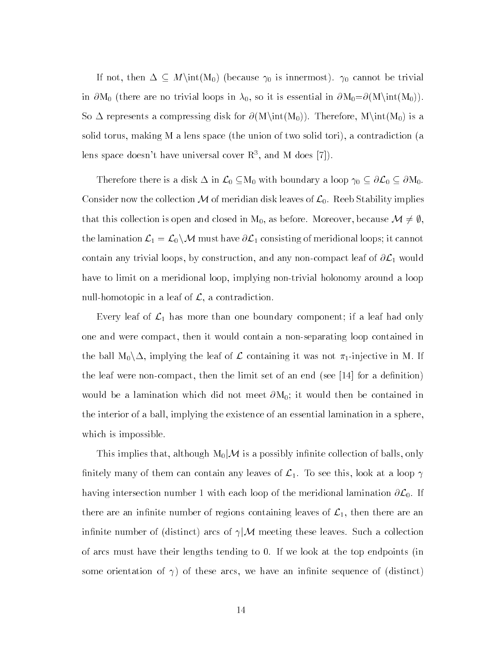If not, then  $\Delta \subseteq M\in(M_0)$  (because  $\gamma_0$  is innermost).  $\gamma_0$  cannot be trivial in  $\partial M_0$  (there are no trivial loops in  $\lambda_0$ , so it is essential in  $\partial M_0 = \partial (M \setminus int(M_0)).$ So  $\Delta$  represents a compressing disk for  $\partial(M\int_{(M_0)})$ . Therefore,  $M\int_{(M_0)}$  is a solid torus, making M a lens space (the union of two solid tori), a contradiction (a lens space doesn't have universal cover  $\mathbb{R}^3$ , and M does [7]).

Therefore there is a disk  $\Delta$  in  $\mathcal{L}_0 \subseteq M_0$  with boundary a loop  $\gamma_0 \subseteq \partial \mathcal{L}_0 \subseteq \partial M_0$ . Consider now the collection M of meridian disk leaves of  $\mathcal{L}_0$ . Reeb Stability implies<br>that this collection is open and closed in M<sub>0</sub>, as before. Moreover, because  $\mathcal{M} \neq \emptyset$ , the lamination  $\mathcal{L}_1 = \mathcal{L}_0 \setminus \mathcal{M}$  must have  $\partial \mathcal{L}_1$  consisting of meridional loops; it cannot contain any trivial loops, by construction, and any non-compact leaf of  $\partial \mathcal{L}_1$  would have to limit on a meridional loop, implying non-trivial holonomy around a loop null-homotopic in a leaf of  $\mathcal{L}$ , a contradiction.

Every leaf of  $\mathcal{L}_1$  has more than one boundary component; if a leaf had only one and were compact, then it would contain a non-separating loop contained in the ball  $M_0 \backslash \Delta$ , implying the leaf of  $\mathcal L$  containing it was not  $\pi_1$ -injective in M. If the leaf were non-compact, then the limit set of an end (see  $|14|$  for a definition) would be a lamination which did not meet  $\partial M_0$ ; it would then be contained in the interior of a ball, implying the existence of an essential lamination in a sphere, which is impossible.

This implies that, although  $M_0/M$  is a possibly infinite collection of balls, only finitely many of them can contain any leaves of  $\mathcal{L}_1$ . To see this, look at a loop  $\gamma$ having intersection number 1 with each loop of the meridional lamination  $\partial \mathcal{L}_0$ . If there are an infinite number of regions containing leaves of  $\mathcal{L}_1$ , then there are an infinite number of (distinct) arcs of  $\gamma$  *M* meeting these leaves. Such a collection of arcs must have their lengths tending to 0. If we look at the top endpoints (in some orientation of  $\gamma$ ) of these arcs, we have an infinite sequence of (distinct)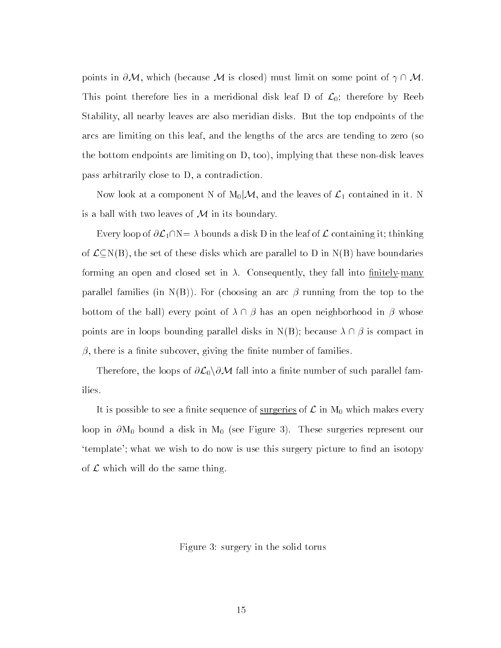points in  $\partial M$ , which (because M is closed) must limit on some point of  $\gamma \cap M$ . This point therefore lies in a meridional disk leaf D of  $\mathcal{L}_0$ ; therefore by Reeb Stability, all nearby leaves are also meridian disks. But the top endpoints of the arcs are limiting on this leaf, and the lengths of the arcs are tending to zero (so the bottom endpoints are limiting on D, too), implying that these non-disk leaves pass arbitrarily close to D, a contradiction.

Now look at a component N of  $\mathrm{M}_0|\mathcal{M},$  and the leaves of  $\mathcal{L}_1$  contained in it. N is a ball with two leaves of  $M$  in its boundary.

Every loop of  $\partial \mathcal{L}_1 \cap N = \lambda$  bounds a disk D in the leaf of  $\mathcal L$  containing it; thinking of  $\mathcal{L}\subseteq N(B)$ , the set of these disks which are parallel to D in  $N(B)$  have boundaries forming an open and closed set in  $\lambda$ . Consequently, they fall into finitely-many parallel families (in N(B)). For (choosing an arc  $\beta$  running from the top to the bottom of the ball) every point of  $\lambda \cap \beta$  has an open neighborhood in  $\beta$  whose points are in loops bounding parallel disks in  $N(B)$ ; because  $\lambda \cap \beta$  is compact in  $\beta$ , there is a finite subcover, giving the finite number of families.

Therefore, the loops of  $\partial \mathcal{L}_0\backslash\partial\mathcal{M}$  fall into a finite number of such parallel families.

It is possible to see a finite sequence of <u>surgeries</u> of  $\mathcal L$  in  $M_0$  which makes every loop in  $\partial M_0$  bound a disk in  $M_0$  (see Figure 3). These surgeries represent our 'template'; what we wish to do now is use this surgery picture to find an isotopy of  $\mathcal L$  which will do the same thing.

Figure 3: surgery in the solid torus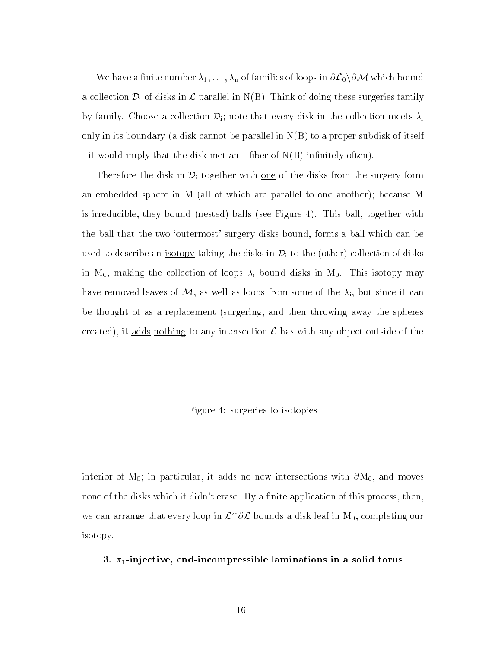We have a finite number  $\lambda_1,\ldots,\lambda_n$  of families of loops in  $\partial L_0\backslash\partial M$  which bound a collection  $\mathcal{D}_i$  of disks in  $\mathcal L$  parallel in N(B). Think of doing these surgeries family by family. Choose a collection  $\mathcal{D}_i$ ; note that every disk in the collection meets  $\lambda_i$ only in its boundary (a disk cannot be parallel in  $N(B)$  to a proper subdisk of itself - it would imply that the disk met an I-fiber of  $N(B)$  infinitely often).

Therefore the disk in  $\mathcal{D}_i$  together with <u>one</u> of the disks from the surgery form an embedded sphere in M (all of which are parallel to one another); because M is irreducible, they bound (nested) balls (see Figure 4). This ball, together with the ball that the two 'outermost' surgery disks bound, forms a ball which can be used to describe an <u>isotopy</u> taking the disks in  $\mathcal{D}_i$  to the (other) collection of disks in  $M_0$ , making the collection of loops  $\lambda_i$  bound disks in  $M_0$ . This isotopy may have removed leaves of M, as well as loops from some of the  $\lambda_i$ , but since it can be thought of as a replacement (surgering, and then throwing away the spheres created), it adds nothing to any intersection  $\mathcal L$  has with any object outside of the

# Figure 4: surgeries to isotopies

interior of  $M_0$ ; in particular, it adds no new intersections with  $\partial M_0$ , and moves none of the disks which it didn't erase. By a finite application of this process, then, we can arrange that every loop in  $\mathcal{L}\cap\partial\mathcal{L}$  bounds a disk leaf in  $M_0$ , completing our isotopy.

## 3.  $\pi_1$ -injective, end-incompressible laminations in a solid torus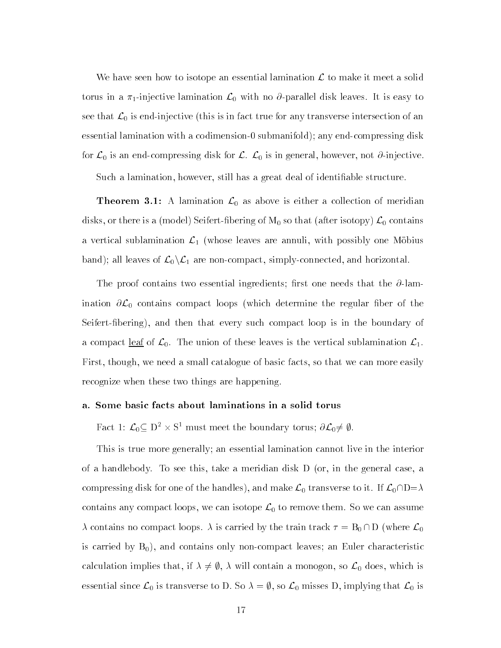We have seen how to isotope an essential lamination  $\mathcal L$  to make it meet a solid torus in a  $\pi_1$ -injective lamination  $\mathcal{L}_0$  with no  $\partial$ -parallel disk leaves. It is easy to see that  $\mathcal{L}_0$  is end-injective (this is in fact true for any transverse intersection of an essential lamination with a codimension-0 submanifold); any end-compressing disk for  $\mathcal{L}_0$  is an end-compressing disk for  $\mathcal{L}$ .  $\mathcal{L}_0$  is in general, however, not  $\partial$ -injective.

Such a lamination, however, still has a great deal of identiable structure.

**Theorem 3.1:** A lamination  $\mathcal{L}_0$  as above is either a collection of meridian disks, or there is a (model) Seifert-fibering of  $M_0$  so that (after isotopy)  $\mathcal{L}_0$  contains a vertical sublamination  $\mathcal{L}_1$  (whose leaves are annuli, with possibly one Möbius band); all leaves of  $\mathcal{L}_0\backslash\mathcal{L}_1$  are non-compact, simply-connected, and horizontal.

The proof contains two essential ingredients; first one needs that the  $\partial$ -lamination  $\partial \mathcal{L}_0$  contains compact loops (which determine the regular fiber of the Seifert-bering), and then that every such compact loop is in the boundary of a compact <u>leaf</u> of  $\mathcal{L}_0$ . The union of these leaves is the vertical sublamination  $\mathcal{L}_1$ . First, though, we need a small catalogue of basic facts, so that we can more easily recognize when these two things are happening.

### a. Some basic facts about laminations in a solid torus

Fact 1:  $\mathcal{L}_0 \subseteq D^2 \times S^1$  must meet the boundary torus;  $\partial \mathcal{L}_0 \neq \emptyset$ .

This is true more generally; an essential lamination cannot live in the interior of a handlebody. To see this, take a meridian disk D (or, in the general case, a compressing disk for one of the handles), and make  $\mathcal{L}_0$  transverse to it. If  $\mathcal{L}_0\cap D=\lambda$ contains any compact loops, we can isotope  $\mathcal{L}_0$  to remove them. So we can assume  $\lambda$  contains no compact loops.  $\lambda$  is carried by the train track  $\tau = B_0 \cap D$  (where  $\mathcal{L}_0$ is carried by  $B_0$ , and contains only non-compact leaves; an Euler characteristic calculation implies that, if  $\lambda \neq \emptyset$ ,  $\lambda$  will contain a monogon, so  $\mathcal{L}_0$  does, which is essential since  $\mathcal{L}_0$  is transverse to D. So  $\lambda = \emptyset$ , so  $\mathcal{L}_0$  misses D, implying that  $\mathcal{L}_0$  is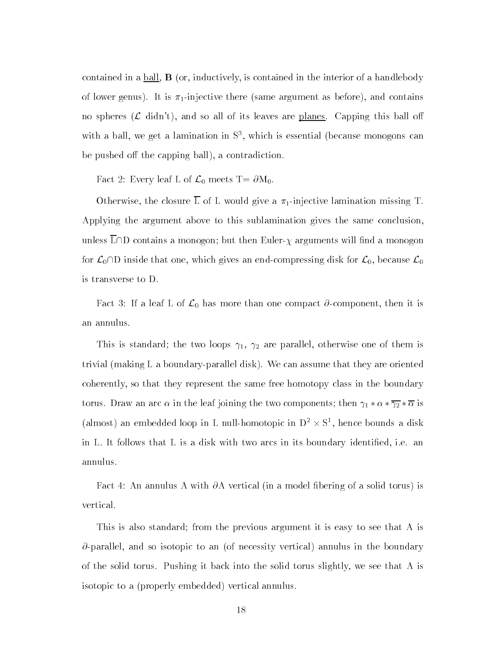contained in a ball, B (or, inductively, is contained in the interior of a handlebody of lower genus). It is  $\pi_1$ -injective there (same argument as before), and contains no spheres  $(\mathcal{L} \text{ didn't})$ , and so all of its leaves are planes. Capping this ball off with a ball, we get a lamination in S3 , which is essential (because monogons can be pushed off the capping ball), a contradiction.

Fact 2: Every leaf L of  $\mathcal{L}_0$  meets T=  $\partial M_0$ .

Otherwise, the closure  $\overline{L}$  of L would give a  $\pi_1$ -injective lamination missing T. Applying the argument above to this sublamination gives the same conclusion, unless L $\cap$ D contains a monogon; but then Euler- $\chi$  arguments will find a monogon for  $\mathcal{L}_0\cap D$  inside that one, which gives an end-compressing disk for  $\mathcal{L}_0$ , because  $\mathcal{L}_0$ is transverse to D.

Fact 3: If a leaf L of  $\mathcal{L}_0$  has more than one compact  $\partial$ -component, then it is an annulus.

This is standard; the two loops  $\gamma_1$ ,  $\gamma_2$  are parallel, otherwise one of them is trivial (making L a boundary-parallel disk). We can assume that they are oriented coherently, so that they represent the same free homotopy class in the boundary torus. Draw an arc  $\alpha$  in the leaf joining the two components; then  $\gamma_1 * \alpha * \overline{\gamma_2} * \overline{\alpha}$  is (almost) an embedded loop in L null-homotopic in  $D^2 \times S^1$ , hence bounds a disk in L. It follows that L is a disk with two arcs in its boundary identied, i.e. an annulus.

Fact 4: An annulus A with  $\partial A$  vertical (in a model fibering of a solid torus) is vertical.

This is also standard; from the previous argument it is easy to see that A is  $\partial$ -parallel, and so isotopic to an (of necessity vertical) annulus in the boundary of the solid torus. Pushing it back into the solid torus slightly, we see that A is isotopic to a (properly embedded) vertical annulus.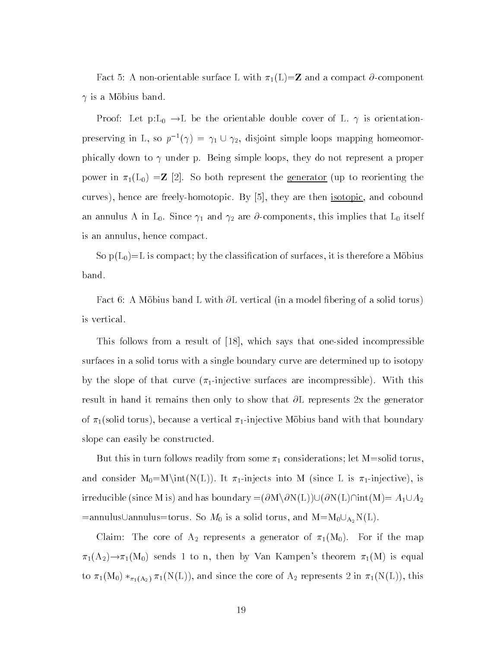Fact 5: A non-orientable surface L with  $\pi_1(L)=\mathbb{Z}$  and a compact  $\partial$ -component  $\gamma$  is a Möbius band.

Proof: Let  $p:L_0 \to L$  be the orientable double cover of L.  $\gamma$  is orientationpreserving in L, so  $p^{-1}(\gamma) = \gamma_1 \cup \gamma_2$ , disjoint simple loops mapping homeomorphically down to  $\gamma$  under p. Being simple loops, they do not represent a proper power in  $\pi_1(L_0) = \mathbb{Z}$  [2]. So both represent the <u>generator</u> (up to reorienting the curves), hence are freely-homotopic. By [5], they are then isotopic, and cobound an annulus A in L<sub>0</sub>. Since  $\gamma_1$  and  $\gamma_2$  are  $\partial$ -components, this implies that L<sub>0</sub> itself is an annulus, hence compact.

So  $p(L_0)=L$  is compact; by the classification of surfaces, it is therefore a Mobius band.

Fact 6: A Möbius band L with  $\partial$ L vertical (in a model fibering of a solid torus) is vertical.

This follows from a result of [18], which says that one-sided incompressible surfaces in a solid torus with a single boundary curve are determined up to isotopy by the slope of that curve  $(\pi_1$ -injective surfaces are incompressible). With this result in hand it remains then only to show that  $\partial L$  represents 2x the generator of  $\pi_1$ (solid torus), because a vertical  $\pi_1$ -injective Möbius band with that boundary slope can easily be constructed.

But this in turn follows readily from some  $\pi_1$  considerations; let M=solid torus and consider  $M_0=M\int(N(L))$ . It  $\pi_1$ -injects into M (since L is  $\pi_1$ -injective), is irreducible (since M is) and has boundary  $= (\partial M \backslash \partial N(L)) \cup (\partial N(L) \cap int(M) = A_1 \cup A_2$  $=$ annulus $\cup$ annulus $=$ torus. So  $M_0$  is a solid torus, and  $M=M_0\cup_{A_2}N(L)$ .

Claim: The core of  $A_2$  represents a generator of  $\pi_1(M_0)$ . For if the map  $\pi_1(A_2) \rightarrow \pi_1(M_0)$  sends 1 to n, then by Van Kampen's theorem  $\pi_1(M)$  is equal to  $\pi_1(M_0) *_{\pi_1(A_2)} \pi_1(N(L))$ , and since the core of  $A_2$  represents 2 in  $\pi_1(N(L))$ , this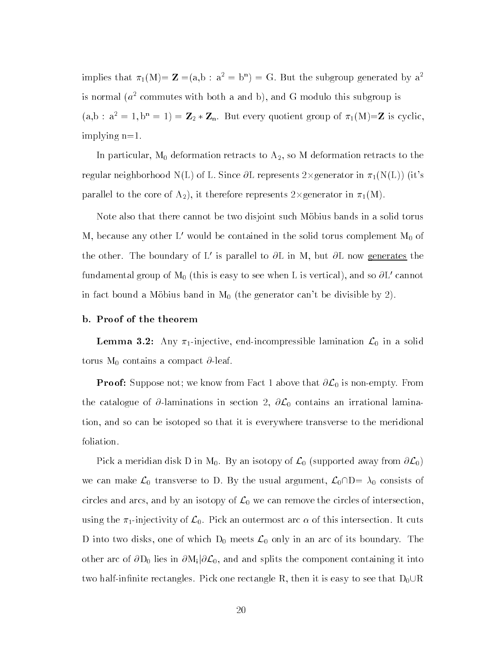implies that  $\pi_1(w) = \mathbf{Z} = (a, b : a^2 = b^2) = G$ . But the subgroup generated by a is normal  $(a^2$  commutes with both a and b), and G modulo this subgroup is  $(a,b : a^2 = 1, b^n = 1) = \mathbb{Z}_2 * \mathbb{Z}_n$ . But every quotient group of  $\pi_1(M)=\mathbb{Z}$  is cyclic, implying n=1.

In particular,  $M_0$  deformation retracts to  $A_2$ , so M deformation retracts to the regular neighborhood N(L) of L. Since  $\partial$ L represents 2×generator in  $\pi_1(N(L))$  (it's parallel to the core of  $A_2$ ), it therefore represents 2×generator in  $\pi_1(M)$ .

Note also that there cannot be two disjoint such Mobius bands in a solid torus M, because any other L' would be contained in the solid torus complement  $M_0$  of the other. The boundary of L' is parallel to  $\partial$ L in M, but  $\partial$ L now generates the fundamental group of  $M_0$  (this is easy to see when L is vertical), and so  $\partial L'$  cannot in fact bound a Möbius band in  $M_0$  (the generator can't be divisible by 2).

# b. Proof of the theorem

**Lemma 3.2:** Any  $\pi_1$ -injective, end-incompressible lamination  $\mathcal{L}_0$  in a solid torus  $M_0$  contains a compact  $\partial$ -leaf.

**Proof:** Suppose not; we know from Fact 1 above that  $\partial \mathcal{L}_0$  is non-empty. From the catalogue of  $\partial$ -laminations in section 2,  $\partial \mathcal{L}_0$  contains an irrational lamination, and so can be isotoped so that it is everywhere transverse to the meridional foliation.

Pick a meridian disk D in M<sub>0</sub>. By an isotopy of  $\mathcal{L}_0$  (supported away from  $\partial \mathcal{L}_0$ ) we can make  $\mathcal{L}_0$  transverse to D. By the usual argument,  $\mathcal{L}_0\cap D= \lambda_0$  consists of circles and arcs, and by an isotopy of  $\mathcal{L}_0$  we can remove the circles of intersection, using the  $\pi_1$ -injectivity of  $\mathcal{L}_0$ . Pick an outermost arc  $\alpha$  of this intersection. It cuts D into two disks, one of which  $D_0$  meets  $\mathcal{L}_0$  only in an arc of its boundary. The other arc of  $\partial D_0$  lies in  $\partial M_i|\partial \mathcal{L}_0$ , and and splits the component containing it into two half-infinite rectangles. Pick one rectangle R, then it is easy to see that  $D_0\cup R$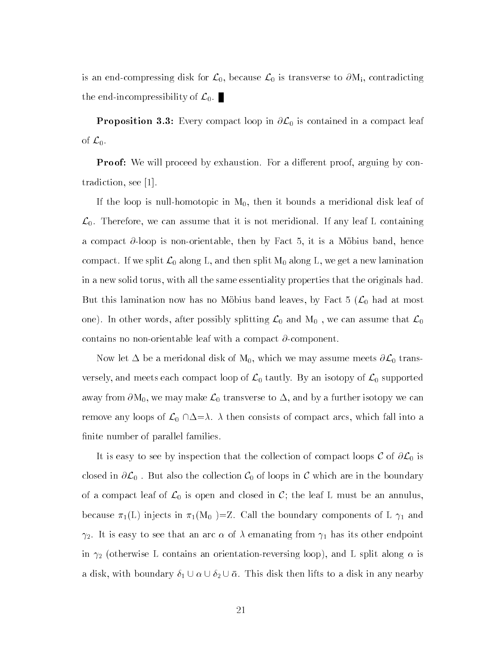is an end-compressing disk for  $\mathcal{L}_0$ , because  $\mathcal{L}_0$  is transverse to  $\partial M_i$ , contradicting the end-incompressibility of  $\mathcal{L}_0$ .

**Proposition 3.3:** Every compact loop in  $\partial \mathcal{L}_0$  is contained in a compact leaf of  $\mathcal{L}_0$ .

**Proof:** We will proceed by exhaustion. For a different proof, arguing by contradiction, see [1].

If the loop is null-homotopic in  $M_0$ , then it bounds a meridional disk leaf of  $\mathcal{L}_0$ . Therefore, we can assume that it is not meridional. If any leaf L containing a compact  $\partial$ -loop is non-orientable, then by Fact 5, it is a Möbius band, hence compact. If we split  $\mathcal{L}_0$  along L, and then split  $M_0$  along L, we get a new lamination in a new solid torus, with all the same essentiality properties that the originals had. But this lamination now has no Möbius band leaves, by Fact 5  $(\mathcal{L}_0$  had at most one). In other words, after possibly splitting  $\mathcal{L}_0$  and  $M_0$ , we can assume that  $\mathcal{L}_0$ contains no non-orientable leaf with a compact  $\partial$ -component.

Now let  $\Delta$  be a meridonal disk of  $\mathrm{M}_0,$  which we may assume meets  $\partial \mathcal{L}_0$  transversely, and meets each compact loop of  $\mathcal{L}_0$  tautly. By an isotopy of  $\mathcal{L}_0$  supported away from  $\partial M_0$ , we may make  $\mathcal{L}_0$  transverse to  $\Delta$ , and by a further isotopy we can remove any loops of  $\mathcal{L}_0 \cap \Delta = \lambda$ .  $\lambda$  then consists of compact arcs, which fall into a finite number of parallel families.

It is easy to see by inspection that the collection of compact loops  $C$  of  $\partial \mathcal{L}_0$  is closed in  $\partial \mathcal{L}_0$ . But also the collection  $\mathcal{C}_0$  of loops in C which are in the boundary of a compact leaf of  $\mathcal{L}_0$  is open and closed in  $\mathcal{C}$ ; the leaf L must be an annulus because  $\pi_1(L)$  injects in  $\pi_1(M_0) = Z$ . Call the boundary components of L  $\gamma_1$  and  $\gamma_2$ . It is easy to see that an arc  $\alpha$  of  $\lambda$  emanating from  $\gamma_1$  has its other endpoint in  $\gamma_2$  (otherwise L contains an orientation-reversing loop), and L split along  $\alpha$  is a disk, with boundary  $\delta_1 \cup \alpha \cup \delta_2 \cup \bar{\alpha}$ . This disk then lifts to a disk in any nearby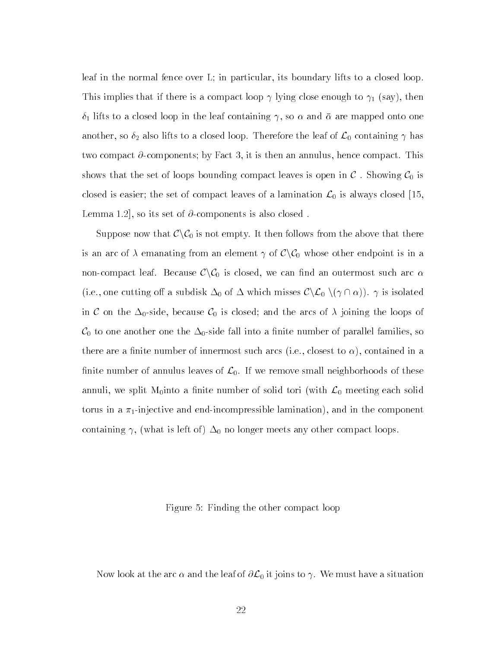leaf in the normal fence over L; in particular, its boundary lifts to a closed loop. This implies that if there is a compact loop  $\gamma$  lying close enough to  $\gamma_1$  (say), then  $\delta_1$  lifts to a closed loop in the leaf containing  $\gamma$ , so  $\alpha$  and  $\bar{\alpha}$  are mapped onto one another, so  $\delta_2$  also lifts to a closed loop. Therefore the leaf of  $\mathcal{L}_0$  containing  $\gamma$  has two compact  $\partial$ -components; by Fact 3, it is then an annulus, hence compact. This shows that the set of loops bounding compact leaves is open in  $\mathcal C$ . Showing  $\mathcal C_0$  is closed is easier; the set of compact leaves of a lamination  $\mathcal{L}_0$  is always closed [15, Lemma 1.2, so its set of  $\partial$  components is also closed.

Suppose now that  $\mathcal{C}\backslash\mathcal{C}_0$  is not empty. It then follows from the above that there is an arc of  $\lambda$  emanating from an element  $\gamma$  of  $\mathcal{C}\setminus\mathcal{C}_0$  whose other endpoint is in a non-compact leaf. Because  $\mathcal{C}\backslash\mathcal{C}_0$  is closed, we can find an outermost such arc  $\alpha$ (i.e., one cutting off a subdisk  $\Delta_0$  of  $\Delta$  which misses  $\mathcal{C}\setminus\mathcal{L}_0$   $(\gamma\cap\alpha)$ ).  $\gamma$  is isolated in C on the  $\Delta_0$ -side, because  $\mathcal{C}_0$  is closed; and the arcs of  $\lambda$  joining the loops of  $\mathcal{C}_0$  to one another one the  $\Delta_0$ -side fall into a finite number of parallel families, so there are a finite number of innermost such arcs (i.e., closest to  $\alpha$ ), contained in a finite number of annulus leaves of  $\mathcal{L}_0$ . If we remove small neighborhoods of these annuli, we split M<sub>0</sub>into a finite number of solid tori (with  $\mathcal{L}_0$  meeting each solid torus in a  $\pi_1$ -injective and end-incompressible lamination), and in the component containing  $\gamma$ , (what is left of)  $\Delta_0$  no longer meets any other compact loops.

Figure 5: Finding the other compact loop

Now look at the arc  $\alpha$  and the leaf of  $\partial \mathcal{L}_0$  it joins to  $\gamma.$  We must have a situation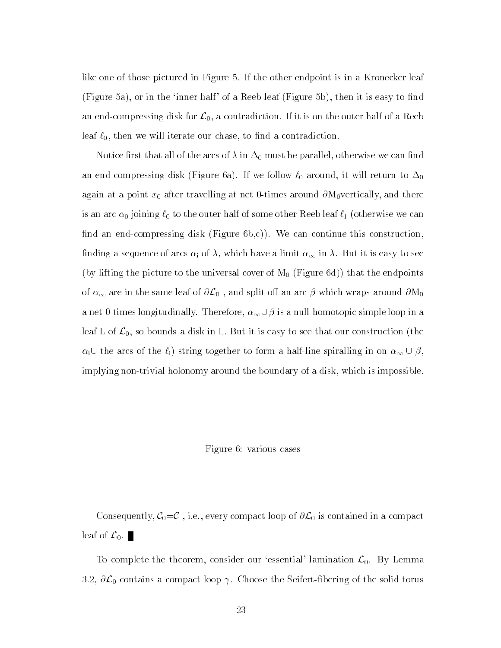like one of those pictured in Figure 5. If the other endpoint is in a Kronecker leaf (Figure 5a), or in the 'inner half' of a Reeb leaf (Figure 5b), then it is easy to find an end-compressing disk for  $\mathcal{L}_0$ , a contradiction. If it is on the outer half of a Reeb leaf  $\ell_0$ , then we will iterate our chase, to find a contradiction.

Notice first that all of the arcs of  $\lambda$  in  $\Delta_0$  must be parallel, otherwise we can find an end-compressing disk (Figure 6a). If we follow  $\ell_0$  around, it will return to  $\Delta_0$ again at a point  $x_0$  after travelling at net 0-times around  $\partial M_0$ vertically, and there is an arc  $\alpha_0$  joining  $\ell_0$  to the outer half of some other Reeb leaf  $\ell_1$  (otherwise we can find an end-compressing disk (Figure  $6b,c$ ). We can continue this construction, finding a sequence of arcs  $\alpha_i$  of  $\lambda$ , which have a limit  $\alpha_{\infty}$  in  $\lambda$ . But it is easy to see (by lifting the picture to the universal cover of  $M_0$  (Figure 6d)) that the endpoints of  $\alpha_{\infty}$  are in the same leaf of  $\partial \mathcal{L}_0$ , and split off an arc  $\beta$  which wraps around  $\partial M_0$ a net 0-times longitudinally. Therefore,  $\alpha_{\infty} \cup \beta$  is a null-homotopic simple loop in a leaf L of  $\mathcal{L}_0$ , so bounds a disk in L. But it is easy to see that our construction (the  $\alpha_i \cup$  the arcs of the  $\ell_i$ ) string together to form a half-line spiralling in on  $\alpha_{\infty} \cup \beta$ , implying non-trivial holonomy around the boundary of a disk, which is impossible.

#### Figure 6: various cases

Consequently,  $C_0 = C$ , i.e., every compact loop of  $\partial \mathcal{L}_0$  is contained in a compact leaf of  $\mathcal{L}_0$ .

To complete the theorem, consider our 'essential' lamination  $\mathcal{L}_{\text{o}}.$  By Lemma 3.2,  $\partial \mathcal{L}_0$  contains a compact loop  $\gamma$ . Choose the Seifert-fibering of the solid torus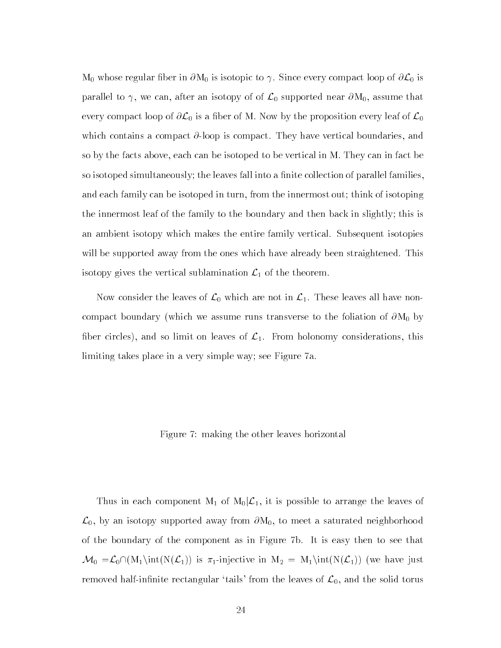$\rm M_0$  whose regular fiber in  $\partial\rm M_0$  is isotopic to  $\gamma.$  Since every compact loop of  $\partial{\cal L}_0$  is parallel to  $\gamma$ , we can, after an isotopy of of  $\mathcal{L}_0$  supported near  $\partial M_0$ , assume that every compact loop of  $\partial \mathcal{L}_0$  is a fiber of M. Now by the proposition every leaf of  $\mathcal{L}_0$ which contains a compact  $\partial$ -loop is compact. They have vertical boundaries, and so by the facts above, each can be isotoped to be vertical in M. They can in fact be so isotoped simultaneously; the leaves fall into a finite collection of parallel families. and each family can be isotoped in turn, from the innermost out; think of isotoping the innermost leaf of the family to the boundary and then back in slightly; this is an ambient isotopy which makes the entire family vertical. Subsequent isotopies will be supported away from the ones which have already been straightened. This isotopy gives the vertical sublamination  $\mathcal{L}_1$  of the theorem.

Now consider the leaves of  $\mathcal{L}_0$  which are not in  $\mathcal{L}_1$ . These leaves all have noncompact boundary (which we assume runs transverse to the foliation of  $\partial M_0$  by fiber circles), and so limit on leaves of  $\mathcal{L}_1$ . From holonomy considerations, this limiting takes place in a very simple way; see Figure 7a.

# Figure 7: making the other leaves horizontal

Thus in each component M<sub>1</sub> of M<sub>0</sub>| $\mathcal{L}_1$ , it is possible to arrange the leaves of  $\mathcal{L}_0$ , by an isotopy supported away from  $\partial M_0$ , to meet a saturated neighborhood of the boundary of the component as in Figure 7b. It is easy then to see that  $\mathcal{M}_0 = \mathcal{L}_0 \cap (M_1 \text{int}(N(\mathcal{L}_1))$  is  $\pi_1$ -injective in  $M_2 = M_1 \text{int}(N(\mathcal{L}_1))$  (we have just removed half-infinite rectangular 'tails' from the leaves of  $\mathcal{L}_0$ , and the solid torus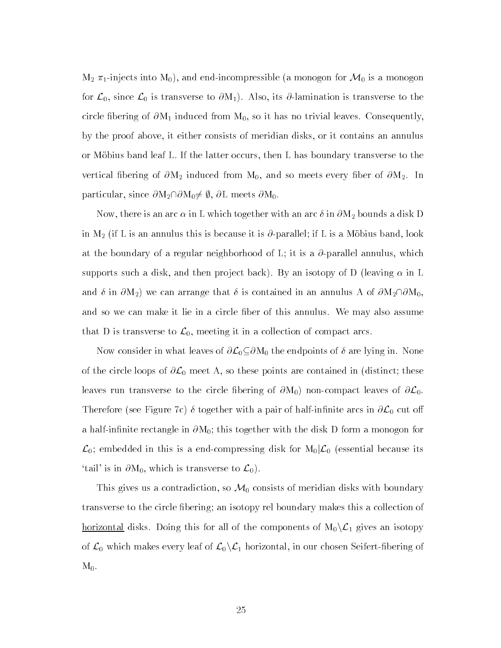$M_2$   $\pi_1$ -injects into  $M_0$ ), and end-incompressible (a monogon for  $\mathcal{M}_0$  is a monogon for  $\mathcal{L}_0$ , since  $\mathcal{L}_0$  is transverse to  $\partial M_1$ ). Also, its  $\partial$ -lamination is transverse to the circle fibering of  $\partial M_1$  induced from  $M_0$ , so it has no trivial leaves. Consequently, by the proof above, it either consists of meridian disks, or it contains an annulus or Mobius band leaf L. If the latter occurs, then L has boundary transverse to the vertical fibering of  $\partial M_2$  induced from  $M_0$ , and so meets every fiber of  $\partial M_2$ . In particular, since  $\partial M_2 \cap \partial M_0 \neq \emptyset$ ,  $\partial L$  meets  $\partial M_0$ .

Now, there is an arc  $\alpha$  in L which together with an arc  $\delta$  in  $\partial\mathrm{M}_2$  bounds a disk D in M<sub>2</sub> (if L is an annulus this is because it is  $\partial$ -parallel; if L is a Mobius band, look at the boundary of a regular neighborhood of L; it is a  $\partial$ -parallel annulus, which supports such a disk, and then project back). By an isotopy of D (leaving  $\alpha$  in L and  $\delta$  in  $\partial M_2$ ) we can arrange that  $\delta$  is contained in an annulus A of  $\partial M_2\cap\partial M_0$ , and so we can make it lie in a circle ber of this annulus. We may also assume that D is transverse to  $\mathcal{L}_0$ , meeting it in a collection of compact arcs.

Now consider in what leaves of  $\partial\mathcal{L}_{0} {\subseteq} \partial\mathrm{M}_{0}$  the endpoints of  $\delta$  are lying in. None of the circle loops of  $\partial \mathcal{L}_0$  meet A, so these points are contained in (distinct; these leaves run transverse to the circle fibering of  $\partial M_0$  non-compact leaves of  $\partial \mathcal{L}_0$ . Therefore (see Figure 7c)  $\delta$  together with a pair of half-infinite arcs in  $\partial \mathcal{L}_0$  cut off a half-infinite rectangle in  $\partial M_0$ ; this together with the disk D form a monogon for  $\mathcal{L}_0$ ; embedded in this is a end-compressing disk for  $M_0|\mathcal{L}_0$  (essential because its 'tail' is in  $\partial M_0$ , which is transverse to  $\mathcal{L}_0$ .

This gives us a contradiction, so  $\mathcal{M}_0$  consists of meridian disks with boundary transverse to the circle bering; an isotopy rel boundary makes this a collection of <u>horizontal</u> disks. Doing this for all of the components of  $M_0\backslash \mathcal{L}_1$  gives an isotopy of  $\mathcal{L}_0$  which makes every leaf of  $\mathcal{L}_0 \backslash \mathcal{L}_1$  horizontal, in our chosen Seifert-fibering of  $M_0$ .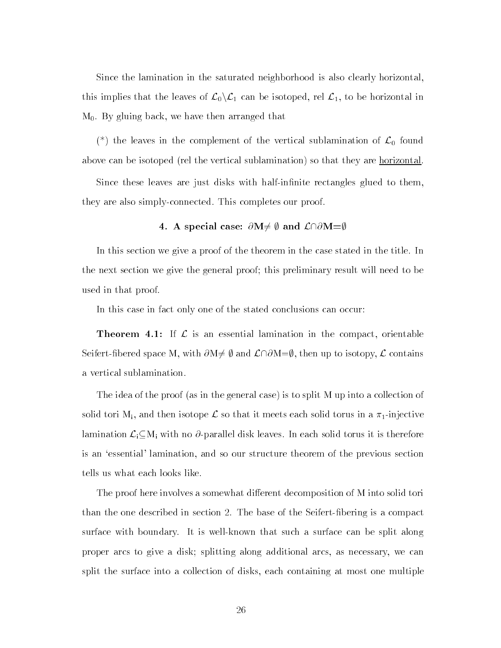Since the lamination in the saturated neighborhood is also clearly horizontal, this implies that the leaves of  $\mathcal{L}_0\backslash\mathcal{L}_1$  can be isotoped, rel  $\mathcal{L}_1$ , to be horizontal in M0. By gluing back, we have then arranged that

(\*) the leaves in the complement of the vertical sublamination of  $\mathcal{L}_0$  found above can be isotoped (rel the vertical sublamination) so that they are horizontal

Since these leaves are just disks with half-infinite rectangles glued to them, they are also simply-connected. This completes our proof.

# 4. A special case:  $\partial M \neq \emptyset$  and  $\mathcal{L} \cap \partial M = \emptyset$

In this section we give a proof of the theorem in the case stated in the title. In the next section we give the general proof; this preliminary result will need to be used in that proof.

In this case in fact only one of the stated conclusions can occur:

**Theorem 4.1:** If  $\mathcal{L}$  is an essential lamination in the compact, orientable Seifert-fibered space M, with  $\partial M \neq \emptyset$  and  $\mathcal{L} \cap \partial M = \emptyset$ , then up to isotopy,  $\mathcal L$  contains a vertical sublamination.

The idea of the proof (as in the general case) is to split M up into a collection of solid tori M<sub>i</sub>, and then isotope  $\mathcal L$  so that it meets each solid torus in a  $\pi_1$ -injective lamination  $\mathcal{L}_i \subseteq M_i$  with no  $\partial$ -parallel disk leaves. In each solid torus it is therefore is an `essential' lamination, and so our structure theorem of the previous section tells us what each looks like.

The proof here involves a somewhat different decomposition of M into solid tori than the one described in section 2. The base of the Seifert-bering is a compact surface with boundary. It is well-known that such a surface can be split along proper arcs to give a disk; splitting along additional arcs, as necessary, we can split the surface into a collection of disks, each containing at most one multiple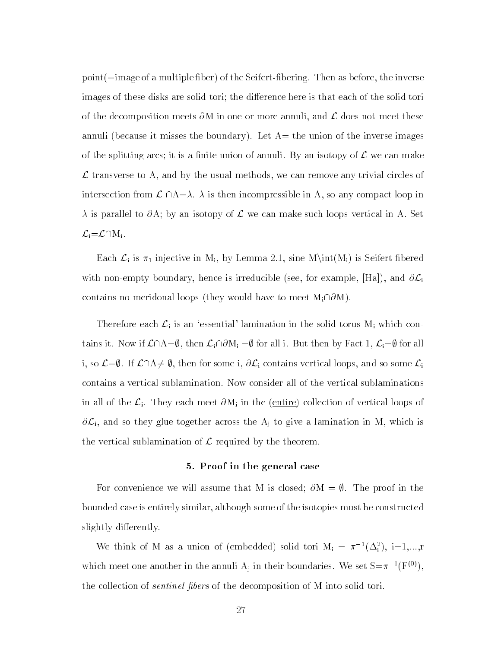point (=image of a multiple fiber) of the Seifert-fibering. Then as before, the inverse images of these disks are solid tori; the difference here is that each of the solid tori of the decomposition meets  $\partial M$  in one or more annuli, and  $\mathcal L$  does not meet these annuli (because it misses the boundary). Let  $A=$  the union of the inverse images of the splitting arcs; it is a finite union of annuli. By an isotopy of  $\mathcal L$  we can make transverse to A, and by the usual methods, we can remove any trivial circles of  $\mathcal L$  transverse to A, and by the usual methods, we can remove any trivial circles of intersection from  $\mathcal L \cap A = \lambda$ .  $\lambda$  is then incompressible in A, so any compact loop in  $\lambda$  is parallel to  $\partial A$ ; by an isotopy of  $\mathcal L$  we can make such loops vertical in A. Set  $\mathcal{L}_i = \mathcal{L} \cap M_i$ .

Each  $\mathcal{L}_i$  is  $\pi_1$ -injective in M<sub>i</sub>, by Lemma 2.1, sine M\int(M<sub>i</sub>) is Seifert-fibered with non-empty boundary, hence is irreducible (see, for example,  $[Ha]$ ), and  $\partial \mathcal{L}_i$ contains no meridonal loops (they would have to meet  $M_i\cap\partial M$ ).

Therefore each  $\mathcal{L}_i$  is an 'essential' lamination in the solid torus  $M_i$  which contains it. Now if  $\mathcal{L}\cap A=\emptyset$ , then  $\mathcal{L}_i\cap\partial M_i =\emptyset$  for all i. But then by Fact 1,  $\mathcal{L}_i=\emptyset$  for all i, so  $\mathcal{L}=\emptyset$ . If  $\mathcal{L}\cap A\neq\emptyset$ , then for some i,  $\partial\mathcal{L}_i$  contains vertical loops, and so some  $\mathcal{L}_i$ contains a vertical sublamination. Now consider all of the vertical sublaminations in all of the  $\mathcal{L}_i$ . They each meet  $\partial M_i$  in the (entire) collection of vertical loops of  $\partial \mathcal{L}_i$ , and so they glue together across the  $A_j$  to give a lamination in M, which is the vertical sublamination of  $\mathcal L$  required by the theorem.

### 5. Proof in the general case

For convenience we will assume that M is closed;  $\partial M = \emptyset$ . The proof in the bounded case is entirely similar, although some of the isotopies must be constructed slightly differently.

We think of M as a union of (embedded) solid tori  $M_i = \pi^{-1}(\Delta_i)$ ,  $i=1,...,r$ which meet one another in the annuli  $A_j$  in their boundaries. We set  $S=\pi^{-1}(F^{(0)})$ the collection of sentinel bers of the decomposition of M into solid tori.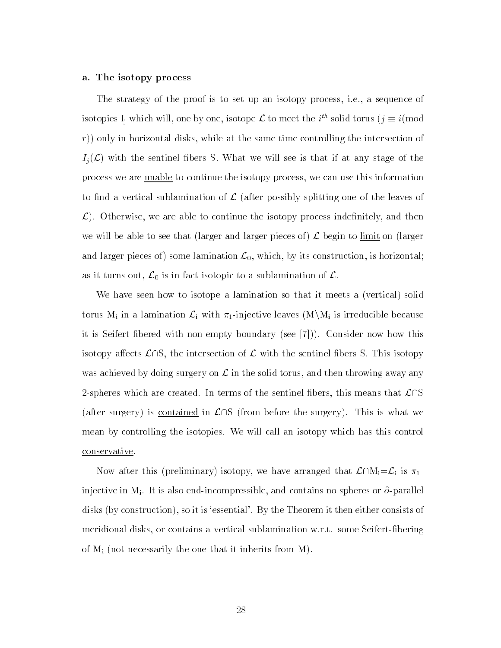#### a. The isotopy process

The strategy of the proof is to set up an isotopy process, i.e., a sequence of isotopies I<sub>i</sub> which will, one by one, isotope  $\mathcal L$  to meet the  $i^{th}$  solid torus  $(j \equiv i (\text{mod}$ r)) only in horizontal disks, while at the same time controlling the intersection of  $I_j(\mathcal{L})$  with the sentinel fibers S. What we will see is that if at any stage of the process we are unable to continue the isotopy process, we can use this information to find a vertical sublamination of  $\mathcal L$  (after possibly splitting one of the leaves of  $\mathcal{L}$ ). Otherwise, we are able to continue the isotopy process indefinitely, and then we will be able to see that (larger and larger pieces of)  $\mathcal L$  begin to limit on (larger and larger pieces of) some lamination  $\mathcal{L}_0$ , which, by its construction, is horizontal; as it turns out,  $\mathcal{L}_0$  is in fact isotopic to a sublamination of  $\mathcal{L}$ .

We have seen how to isotope a lamination so that it meets a (vertical) solid torus M<sub>i</sub> in a lamination  $\mathcal{L}_i$  with  $\pi_1$ -injective leaves  $(M\backslash M_i)$  is irreducible because it is Seifert-bered with non-empty boundary (see [7])). Consider now how this isotopy affects  $\mathcal{L} \cap S$ , the intersection of  $\mathcal{L}$  with the sentinel fibers S. This isotopy was achieved by doing surgery on  $\mathcal L$  in the solid torus, and then throwing away any 2-spheres which are created. In terms of the sentinel fibers, this means that  $\mathcal{L}\cap\mathcal{S}$ (after surgery) is contained in  $\mathcal{L}\cap S$  (from before the surgery). This is what we mean by controlling the isotopies. We will call an isotopy which has this control conservative.

Now after this (preliminary) isotopy, we have arranged that  $\mathcal{L}\cap M_i=\mathcal{L}_i$  is  $\pi_1$ injective in M<sub>i</sub>. It is also end-incompressible, and contains no spheres or  $\partial$ -parallel disks (by construction), so it is 'essential'. By the Theorem it then either consists of meridional disks, or contains a vertical sublamination w.r.t. some Seifert-bering of  $M_i$  (not necessarily the one that it inherits from M).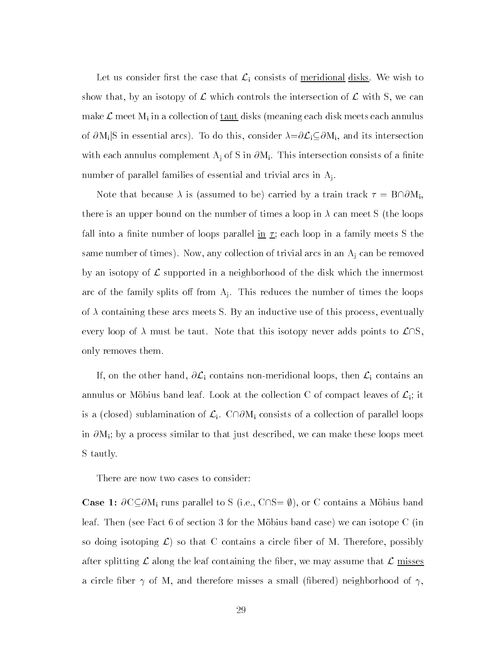Let us consider first the case that  $\mathcal{L}_i$  consists of <u>meridional disks</u>. We wish to show that, by an isotopy of  $\mathcal L$  which controls the intersection of  $\mathcal L$  with S, we can make  $\mathcal L$  meet  $M_i$  in a collection of taut disks (meaning each disk meets each annulus of  $\partial M_i|S$  in essential arcs). To do this, consider  $\lambda = \partial \mathcal{L}_i \subseteq \partial M_i$ , and its intersection with each annulus complement  $A_j$  of S in  $\partial M_i$ . This intersection consists of a finite number of parallel families of essential and trivial arcs in Aj.

Note that because  $\lambda$  is (assumed to be) carried by a train track  $\tau = {\rm B}{\cap}\partial {\rm M}_{\rm i},$ there is an upper bound on the number of times a loop in  $\lambda$  can meet S (the loops fall into a finite number of loops parallel  $\underline{\text{in}}\tau$ ; each loop in a family meets S the same number of times). Now, any collection of trivial arcs in an  $A_j$  can be removed by an isotopy of  $\mathcal L$  supported in a neighborhood of the disk which the innermost arc of the family splits off from  $A_i$ . This reduces the number of times the loops of  $\lambda$  containing these arcs meets S. By an inductive use of this process, eventually every loop of  $\lambda$  must be taut. Note that this isotopy never adds points to  $\mathcal{L} \cap S$ only removes them.

If, on the other hand,  $\partial \mathcal{L}_i$  contains non-meridional loops, then  $\mathcal{L}_i$  contains an annulus or Möbius band leaf. Look at the collection C of compact leaves of  $\mathcal{L}_i$ ; it is a (closed) sublamination of  $\mathcal{L}_i$ .  $C \cap \partial M_i$  consists of a collection of parallel loops in  $\partial M_i$ ; by a process similar to that just described, we can make these loops meet S tautly.

There are now two cases to consider:

**Case 1:**  $\partial C \subseteq \partial M_i$  runs parallel to S (i.e.,  $C \cap S = \emptyset$ ), or C contains a Möbius band leaf. Then (see Fact 6 of section 3 for the Mobius band case) we can isotope C (in so doing isotoping  $\mathcal{L}$ ) so that C contains a circle fiber of M. Therefore, possibly after splitting  $\mathcal L$  along the leaf containing the fiber, we may assume that  $\mathcal L$  misses a circle fiber  $\gamma$  of M, and therefore misses a small (fibered) neighborhood of  $\gamma$ ,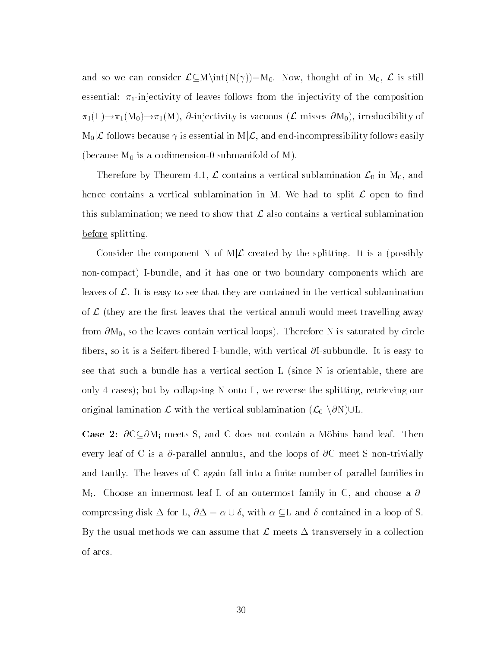and so we can consider  $\mathcal{L}\subseteq \mathcal{M}\in(N(\gamma))=M_0$ . Now, thought of in  $M_0$ ,  $\mathcal{L}$  is still essential:  $\pi_1$ -injectivity of leaves follows from the injectivity of the composition  $\pi_1(L) \to \pi_1(M_0) \to \pi_1(M)$ ,  $\partial$ -injectivity is vacuous ( $\mathcal L$  misses  $\partial M_0$ ), irreducibility of  $M_0\mathcal{L}$  follows because  $\gamma$  is essential in  $M\mathcal{L}$ , and end-incompressibility follows easily (because  $M_0$  is a codimension-0 submanifold of M).

Therefore by Theorem 4.1,  $\mathcal L$  contains a vertical sublamination  $\mathcal L_0$  in  $M_0$ , and hence contains a vertical sublamination in M. We had to split  $\mathcal L$  open to find this sublamination; we need to show that  $\mathcal L$  also contains a vertical sublamination before splitting.

Consider the component N of  $M/\mathcal{L}$  created by the splitting. It is a (possibly non-compact) I-bundle, and it has one or two boundary components which are leaves of  $\mathcal{L}$ . It is easy to see that they are contained in the vertical sublamination of  $\mathcal L$  (they are the first leaves that the vertical annuli would meet travelling away from  $\partial M_0$ , so the leaves contain vertical loops). Therefore N is saturated by circle fibers, so it is a Seifert-fibered I-bundle, with vertical  $\partial I$ -subbundle. It is easy to see that such a bundle has a vertical section L (since N is orientable, there are only 4 cases); but by collapsing N onto L, we reverse the splitting, retrieving our original lamination  $\mathcal L$  with the vertical sublamination  $(\mathcal L_0 \setminus \partial N)\cup L$ .

**Case 2:**  $\partial C \subseteq \partial M_i$  meets S, and C does not contain a Möbius band leaf. Then every leaf of C is a  $\partial$ -parallel annulus, and the loops of  $\partial C$  meet S non-trivially and tautly. The leaves of C again fall into a finite number of parallel families in  $M_i$ . Choose an innermost leaf L of an outermost family in C, and choose a  $\partial$ compressing disk  $\Delta$  for L,  $\partial \Delta = \alpha \cup \delta$ , with  $\alpha \subseteq L$  and  $\delta$  contained in a loop of S. By the usual methods we can assume that  $\mathcal L$  meets  $\Delta$  transversely in a collection of arcs.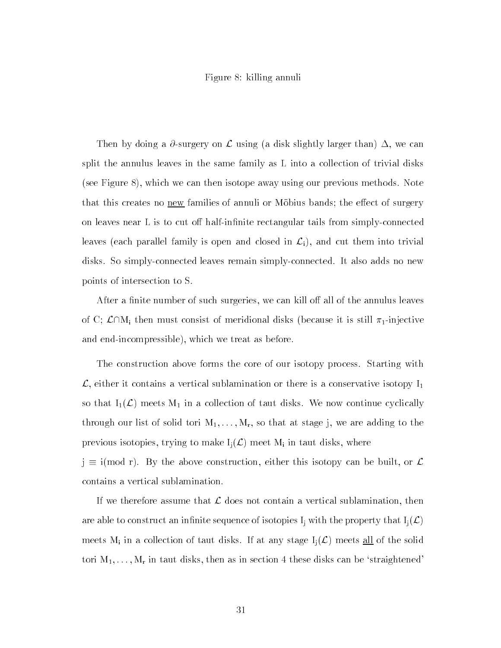# Figure 8: killing annuli

Then by doing a  $\partial$ -surgery on  $\mathcal L$  using (a disk slightly larger than)  $\Delta$ , we can split the annulus leaves in the same family as L into a collection of trivial disks (see Figure 8), which we can then isotope away using our previous methods. Note that this creates no new families of annuli or Mobius bands; the effect of surgery on leaves near L is to cut off half-infinite rectangular tails from simply-connected leaves (each parallel family is open and closed in  $\mathcal{L}_i$ ), and cut them into trivial disks. So simply-connected leaves remain simply-connected. It also adds no new points of intersection to S.

After a finite number of such surgeries, we can kill off all of the annulus leaves of C;  $\mathcal{L}\cap M_i$  then must consist of meridional disks (because it is still  $\pi_1$ -injective and end-incompressible), which we treat as before.

The construction above forms the core of our isotopy process. Starting with  $\mathcal{L}$ , either it contains a vertical sublamination or there is a conservative isotopy  $I_1$ so that  $I_1(\mathcal{L})$  meets  $M_1$  in a collection of taut disks. We now continue cyclically through our list of solid tori  $M_1,\ldots,M_r$ , so that at stage j, we are adding to the previous isotopies, trying to make  $I_i(\mathcal{L})$  meet M<sub>i</sub> in taut disks, where

 $j \equiv i (mod r)$ . By the above construction, either this isotopy can be built, or  $\mathcal{L}$ contains a vertical sublamination.

If we therefore assume that  $\mathcal L$  does not contain a vertical sublamination, then are able to construct an infinite sequence of isotopies  $I_i$  with the property that  $I_i(\mathcal{L})$ meets M<sub>i</sub> in a collection of taut disks. If at any stage  $I_i(\mathcal{L})$  meets all of the solid tori  $M_1,\ldots,M_r$  in taut disks, then as in section 4 these disks can be 'straightened'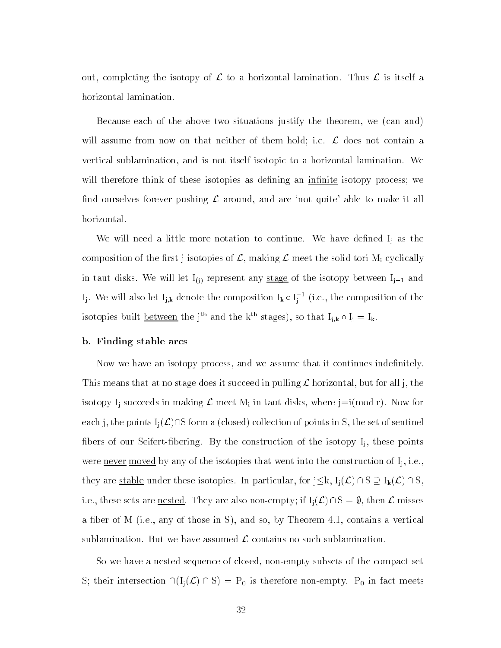out, completing the isotopy of  $\mathcal L$  to a horizontal lamination. Thus  $\mathcal L$  is itself a horizontal lamination.

Because each of the above two situations justify the theorem, we (can and) will assume from now on that neither of them hold; i.e.  $\mathcal L$  does not contain a vertical sublamination, and is not itself isotopic to a horizontal lamination. We will therefore think of these isotopies as defining an infinite isotopy process; we find ourselves forever pushing  $\mathcal L$  around, and are 'not quite' able to make it all horizontal.

We will need a little more notation to continue. We have defined  $I_i$  as the composition of the first j isotopies of  $\mathcal{L}$ , making  $\mathcal{L}$  meet the solid tori M<sub>i</sub> cyclically in taut disks. We will let  $I_{(j)}$  represent any stage of the isotopy between  $I_{j-1}$  and I<sub>j</sub>. We will also let I<sub>j,k</sub> denote the composition I<sub>k</sub>  $\circ$  I<sub>i</sub><sup>-1</sup> (i.e., the composition of the isotopies built <u>between</u> the j<sup>th</sup> and the k<sup>th</sup> stages), so that  $I_{j,k} \circ I_j = I_k$ .

### b. Finding stable arcs

Now we have an isotopy process, and we assume that it continues indefinitely. This means that at no stage does it succeed in pulling  $\mathcal L$  horizontal, but for all j, the isotopy I<sub>i</sub> succeeds in making  $\mathcal L$  meet M<sub>i</sub> in taut disks, where  $j\equiv i(mod r)$ . Now for each j, the points  $I_i(\mathcal{L})\cap S$  form a (closed) collection of points in S, the set of sentinel fibers of our Seifert-fibering. By the construction of the isotopy  $I_i$ , these points were <u>never moved</u> by any of the isotopies that went into the construction of  $I_i$ , i.e., they are <u>stable</u> under these isotopies. In particular, for  $j \leq k$ ,  $I_j(\mathcal{L}) \cap S \supseteq I_k(\mathcal{L}) \cap S$ , i.e., these sets are <u>nested</u>. They are also non-empty; if  $I_i(\mathcal{L}) \cap S = \emptyset$ , then  $\mathcal L$  misses a fiber of M (i.e., any of those in S), and so, by Theorem 4.1, contains a vertical sublamination. But we have assumed  $\mathcal L$  contains no such sublamination.

So we have a nested sequence of closed, non-empty subsets of the compact set S; their intersection  $\cap (I_j(\mathcal{L}) \cap S) = P_0$  is therefore non-empty. P<sub>0</sub> in fact meets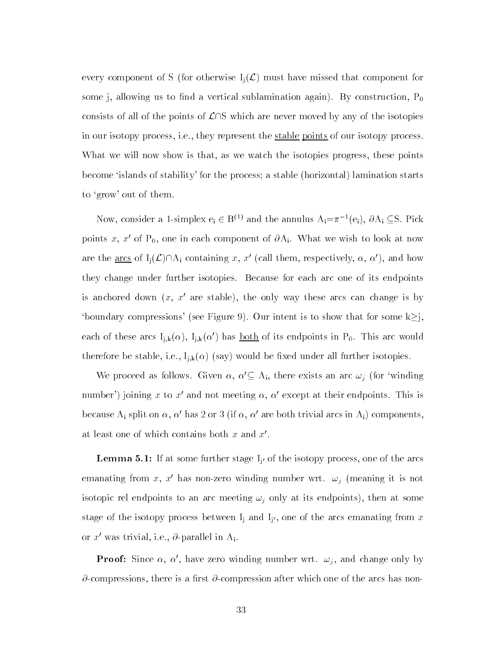every component of S (for otherwise  $I_i(\mathcal{L})$  must have missed that component for some j, allowing us to find a vertical sublamination again). By construction,  $P_0$ consists of all of the points of  $\mathcal{L}\cap S$  which are never moved by any of the isotopies in our isotopy process, i.e., they represent the stable points of our isotopy process. What we will now show is that, as we watch the isotopies progress, these points become `islands of stability' for the process; a stable (horizontal) lamination starts to `grow' out of them.

Now, consider a 1-simplex  $e_i \in B^{(1)}$  and the annulus  $A_i = \pi^{-1}(e_i)$ ,  $\partial A_i \subseteq S$ . Pick points x, x' of P<sub>0</sub>, one in each component of  $\partial A_i$ . What we wish to look at now are the <u>arcs</u> of  $I_i(\mathcal{L})\cap A_i$  containing x, x' (call them, respectively,  $\alpha$ ,  $\alpha'$ ), and how they change under further isotopies. Because for each arc one of its endpoints is anchored down  $(x, x'$  are stable), the only way these arcs can change is by 'boundary compressions' (see Figure 9). Our intent is to show that for some  $k\geq j$ , each of these arcs  $I_{j,k}(\alpha)$ ,  $I_{j,k}(\alpha')$  has <u>both</u> of its endpoints in P<sub>0</sub>. This arc would therefore be stable, i.e.,  $I_{j,k}(\alpha)$  (say) would be fixed under all further isotopies.

We proceed as follows. Given  $\alpha$ ,  $\alpha' \subseteq A_i$ , there exists an arc  $\omega_j$  (for 'winding number') joining x to x' and not meeting  $\alpha$ ,  $\alpha'$  except at their endpoints. This is because A<sub>i</sub> split on  $\alpha$ ,  $\alpha'$  has 2 or 3 (if  $\alpha$ ,  $\alpha'$  are both trivial arcs in A<sub>i</sub>) components, at least one of which contains both  $x$  and  $x'$ .

 $\blacksquare$   $\blacksquare$  . If at some further stage  $\blacksquare$  of the isotopy process, one of the arcs emanating from x, x' has non-zero winding number wrt.  $\omega_i$  (meaning it is not isotopic rel endpoints to an arc meeting  $\omega_j$  only at its endpoints), then at some stage of the isotopy process between Ij and Ij 0 , one of the arcs emanating from x or x' was trivial, i.e.,  $\partial$ -parallel in A<sub>i</sub>.

**Proof:** Since  $\alpha$ ,  $\alpha'$ , have zero winding number wrt.  $\omega_j$ , and change only by  $\partial$ -compressions, there is a first  $\partial$ -compression after which one of the arcs has non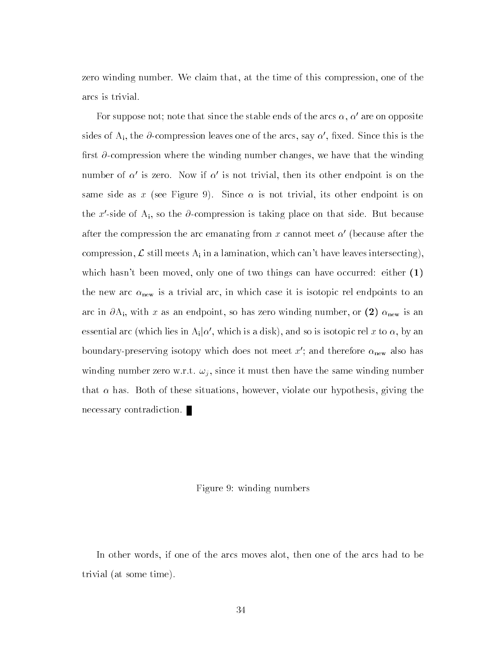zero winding number. We claim that, at the time of this compression, one of the arcs is trivial.

For suppose not; note that since the stable ends of the arcs  $\alpha, \alpha'$  are on opposite sides of A<sub>i</sub>, the  $\partial$ -compression leaves one of the arcs, say  $\alpha'$ , fixed. Since this is the first  $\partial$ -compression where the winding number changes, we have that the winding number of  $\alpha'$  is zero. Now if  $\alpha'$  is not trivial, then its other endpoint is on the same side as x (see Figure 9). Since  $\alpha$  is not trivial, its other endpoint is on the x'-side of  $A_i$ , so the  $\partial$ -compression is taking place on that side. But because after the compression the arc emanating from x cannot meet  $\alpha'$  (because after the compression,  $\mathcal L$  still meets  $A_i$  in a lamination, which can't have leaves intersecting), which hasn't been moved, only one of two things can have occurred: either (1) the new arc  $\alpha_{\text{new}}$  is a trivial arc, in which case it is isotopic rel endpoints to an arc in  $\partial A_i$ , with x as an endpoint, so has zero winding number, or (2)  $\alpha_{\text{new}}$  is an essential arc (which lies in A<sub>i</sub>| $\alpha'$ , which is a disk), and so is isotopic rel x to  $\alpha$ , by an boundary-preserving isotopy which does not meet x'; and therefore  $\alpha_{\text{new}}$  also has winding number zero w.r.t.  $\omega_i$ , since it must then have the same winding number that  $\alpha$  has. Both of these situations, however, violate our hypothesis, giving the necessary contradiction.

# Figure 9: winding numbers

In other words, if one of the arcs moves alot, then one of the arcs had to be trivial (at some time).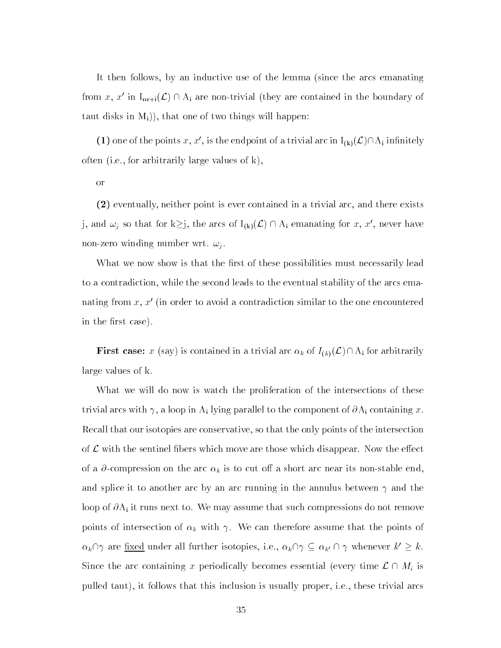It then follows, by an inductive use of the lemma (since the arcs emanating from x, x' in I<sub>nr+i</sub>( $\mathcal{L}$ )  $\cap$  A<sub>i</sub> are non-trivial (they are contained in the boundary of taut disks in  $M_i$ ), that one of two things will happen:

(1) one of the points x, x', is the endpoint of a trivial arc in  $I_{(k)}(\mathcal{L})\cap A_i$  infinitely often (i.e., for arbitrarily large values of k),

or

(2) eventually, neither point is ever contained in a trivial arc, and there exists j, and  $\omega_j$  so that for  $k\geq j$ , the arcs of  $I_{(k)}(\mathcal{L}) \cap A_i$  emanating for x, x', never have non-zero winding number wrt.  $\omega_i$ .

What we now show is that the first of these possibilities must necessarily lead to a contradiction, while the second leads to the eventual stability of the arcs emanating from  $x, x'$  (in order to avoid a contradiction similar to the one encountered in the first case).

**First case:** x (say) is contained in a trivial arc  $\alpha_k$  of  $I_{(k)}(\mathcal{L}) \cap A_i$  for arbitrarily large values of k.

What we will do now is watch the proliferation of the intersections of these trivial arcs with  $\gamma$ , a loop in A<sub>i</sub> lying parallel to the component of  $\partial A_i$  containing x. Recall that our isotopies are conservative, so that the only points of the intersection of  $\mathcal L$  with the sentinel fibers which move are those which disappear. Now the effect of a  $\partial$ -compression on the arc  $\alpha_k$  is to cut off a short arc near its non-stable end, and splice it to another arc by an arc running in the annulus between  $\gamma$  and the loop of  $\partial A_i$  it runs next to. We may assume that such compressions do not remove points of intersection of  $\alpha_k$  with  $\gamma$ . We can therefore assume that the points of  $\alpha_k \cap \gamma$  are <u>fixed</u> under all further isotopies, i.e.,  $\alpha_k \cap \gamma \subseteq \alpha_{k'} \cap \gamma$  whenever  $k' \geq k$ .  $\alpha_k \cap \gamma$  are <u>fixed</u> under all further isotopies, i.e.,  $\alpha_k \cap \gamma \subseteq \alpha_{k'} \cap \gamma$  whenever  $k' \geq k$ .<br>Since the arc containing x periodically becomes essential (every time  $\mathcal{L} \cap M_i$  is pulled taut), it follows that this inclusion is usually proper, i.e., these trivial arcs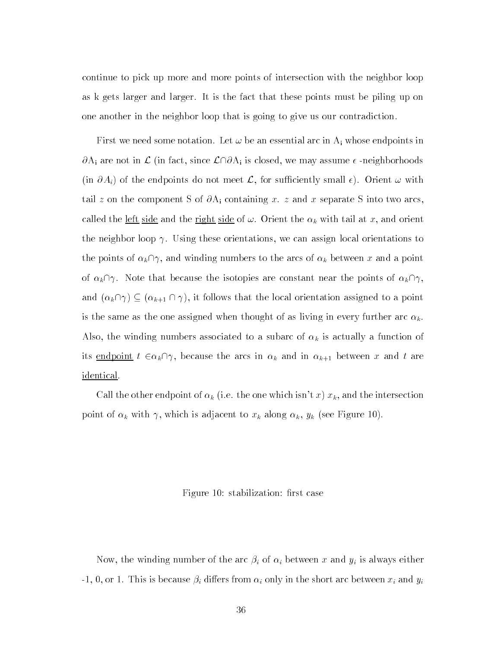continue to pick up more and more points of intersection with the neighbor loop as k gets larger and larger. It is the fact that these points must be piling up on one another in the neighbor loop that is going to give us our contradiction.

First we need some notation. Let  $\omega$  be an essential arc in  $A_i$  whose endpoints in  $\partial A_i$  are not in L (in fact, since  $\mathcal{L}\cap\partial A_i$  is closed, we may assume  $\epsilon$  -neighborhoods (in  $\partial A_i$ ) of the endpoints do not meet  $\mathcal{L}$ , for sufficiently small  $\epsilon$ ). Orient  $\omega$  with tail z on the component S of  $\partial A_i$  containing x. z and x separate S into two arcs. called the <u>left side</u> and the <u>right side</u> of  $\omega$ . Orient the  $\alpha_k$  with tail at x, and orient the neighbor loop  $\gamma$ . Using these orientations, we can assign local orientations to the points of  $\alpha_k \cap \gamma$ , and winding numbers to the arcs of  $\alpha_k$  between x and a point of  $\alpha_k \cap \gamma$ . Note that because the isotopies are constant near the points of  $\alpha_k \cap \gamma$ , and  $(\alpha_k \cap \gamma) \subseteq (\alpha_{k+1} \cap \gamma)$ , it follows that the local orientation assigned to a point is the same as the one assigned when thought of as living in every further arc  $\alpha_k$ . Also, the winding numbers associated to a subarc of  $\alpha_k$  is actually a function of its endpoint  $t \in \alpha_k \cap \gamma$ , because the arcs in  $\alpha_k$  and in  $\alpha_{k+1}$  between x and t are identical.

Call the other endpoint of  $\alpha_k$  (i.e. the one which isn't x)  $x_k$ , and the intersection point of  $\alpha_k$  with  $\gamma$ , which is adjacent to  $x_k$  along  $\alpha_k$ ,  $y_k$  (see Figure 10).

#### Figure 10: stabilization: first case

Now, the winding number of the arc  $\beta_i$  of  $\alpha_i$  between x and  $y_i$  is always either -1, 0, or 1. This is because  $\beta_i$  differs from  $\alpha_i$  only in the short arc between  $x_i$  and  $y_i$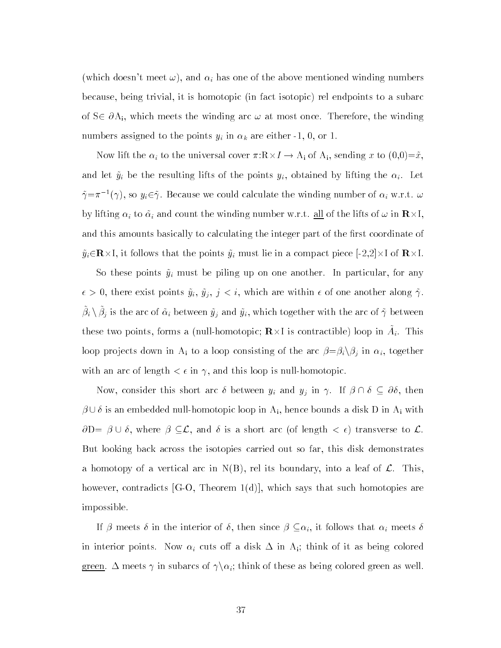(which doesn't meet  $\omega$ ), and  $\alpha_i$  has one of the above mentioned winding numbers because, being trivial, it is homotopic (in fact isotopic) rel endpoints to a subarc of  $S\in \partial A_i$ , which meets the winding arc  $\omega$  at most once. Therefore, the winding numbers assigned to the points  $y_i$  in  $\alpha_k$  are either -1, 0, or 1.

Now lift the  $\alpha_i$  to the universal cover  $\pi:R \times I \to A_i$  of  $A_i$ , sending x to  $(0,0)=\tilde{x}$ , and let  $\tilde{y}_i$  be the resulting lifts of the points  $y_i$ , obtained by lifting the  $\alpha_i$ . Let  $\tilde{\gamma} = \pi^{-1}(\gamma)$ , so  $y_i \in \tilde{\gamma}$ . Because we could calculate the winding number of  $\alpha_i$  w.r.t.  $\omega$ by lifting  $\alpha_i$  to  $\tilde{\alpha}_i$  and count the winding number w.r.t. all of the lifts of  $\omega$  in  ${\bf R}\times$ I, and this amounts basically to calculating the integer part of the first coordinate of  $\tilde{y}_i \in \mathbf{R} \times I$ , it follows that the points  $\tilde{y}_i$  must lie in a compact piece [-2,2] $\times I$  of  $\mathbf{R} \times I$ .

So these points  $\tilde{y}_i$  must be piling up on one another. In particular, for any  $\epsilon > 0$ , there exist points  $\tilde{y}_i, \tilde{y}_j, j < i$ , which are within  $\epsilon$  of one another along  $\tilde{\gamma}$ .  $\beta_i \setminus \beta_j$  is the arc of  $\tilde{\alpha}_i$  between  $\tilde{y}_i$  and  $\tilde{y}_i$ , which together with the arc of  $\tilde{\gamma}$  between these two points, forms a (null-homotopic;  $\mathbf{R} \times I$  is contractible) loop in  $A_i$ . This loop projects down in A<sub>i</sub> to a loop consisting of the arc  $\beta = \beta_i \setminus \beta_j$  in  $\alpha_i$ , together with an arc of length  $\lt \epsilon$  in  $\gamma$ , and this loop is null-homotopic.

Now, consider this short arc  $\delta$  between  $y_i$  and  $y_j$  in  $\gamma$ . If  $\beta \cap \delta \subseteq \partial \delta$ , then  $\beta\cup\delta$  is an embedded null-homotopic loop in  $\mathrm{A_i},$  hence bounds a disk  $\mathrm{D}$  in  $\mathrm{A_i}$  with  $\partial D = \beta \cup \delta$ , where  $\beta \subseteq \mathcal{L}$ , and  $\delta$  is a short arc (of length  $\lt \epsilon$ ) transverse to  $\mathcal{L}$ . But looking back across the isotopies carried out so far, this disk demonstrates a homotopy of a vertical arc in  $N(B)$ , rel its boundary, into a leaf of  $\mathcal{L}$ . This, however, contradicts  $[G-O, Theorem 1(d)]$ , which says that such homotopies are impossible.

If  $\beta$  meets  $\delta$  in the interior of  $\delta$ , then since  $\beta \subseteq \alpha_i$ , it follows that  $\alpha_i$  meets  $\delta$ in interior points. Now  $\alpha_i$  cuts off a disk  $\Delta$  in A<sub>i</sub>; think of it as being colored green.  $\Delta$  meets  $\gamma$  in subarcs of  $\gamma \backslash \alpha_i$ ; think of these as being colored green as well.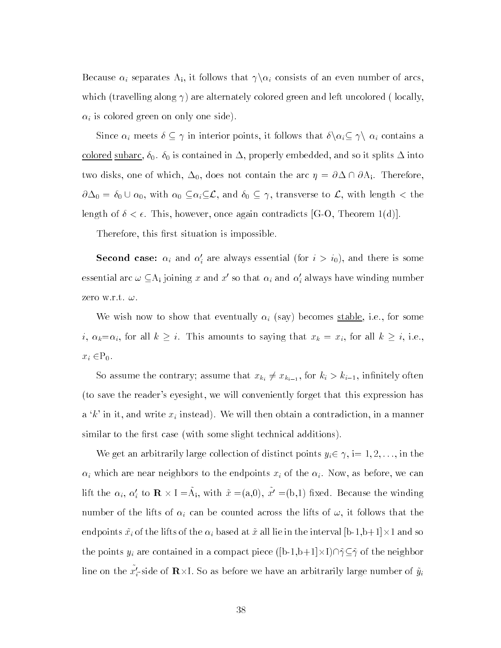Because  $\alpha_i$  separates A<sub>i</sub>, it follows that  $\gamma \setminus \alpha_i$  consists of an even number of arcs, which (travelling along  $\gamma$ ) are alternately colored green and left uncolored (locally,  $\alpha_i$  is colored green on only one side).

Since  $\alpha_i$  meets  $\delta \subseteq \gamma$  in interior points, it follows that  $\delta \setminus \alpha_i \subseteq \gamma \setminus \alpha_i$  contains a colored subarc,  $\delta_0$ .  $\delta_0$  is contained in  $\Delta$ , properly embedded, and so it splits  $\Delta$  into two disks, one of which,  $\Delta_0$ , does not contain the arc  $\eta = \partial \Delta \cap \partial A_i$ . Therefore,  $\partial\Delta_0 = \delta_0 \cup \alpha_0$ , with  $\alpha_0 \subseteq \alpha_i \subseteq \mathcal{L}$ , and  $\delta_0 \subseteq \gamma$ , transverse to  $\mathcal{L}$ , with length  $\lt$  the length of  $\delta < \epsilon$ . This, however, once again contradicts [G-O, Theorem 1(d)].

Therefore, this first situation is impossible.

**Second case:**  $\alpha_i$  and  $\alpha_i$  are always essential (for  $i > i_0$ ), and there is some essential arc  $\omega \subseteq$ A<sub>i</sub> joining  $x$  and  $x'$  so that  $\alpha_i$  and  $\alpha_i'$  always have winding number zero w.r.t.  $\omega$ .

We wish now to show that eventually  $\alpha_i$  (say) becomes stable, i.e., for some i,  $\alpha_k=\alpha_i$ , for all  $k \geq i$ . This amounts to saying that  $x_k = x_i$ , for all  $k \geq i$ , i.e.,  $x_i \in P_0$ .

So assume the contrary; assume that  $x_{k_i} \neq x_{k_{i-1}}$ , for  $k_i > k_{i-1}$ , infinitely often (to save the reader's eyesight, we will conveniently forget that this expression has a 'k' in it, and write  $x_i$  instead). We will then obtain a contradiction, in a manner similar to the first case (with some slight technical additions).

We get an arbitrarily large collection of distinct points  $y_i \in \gamma$ , i= 1, 2, ..., in the  $\alpha_i$  which are near neighbors to the endpoints  $x_i$  of the  $\alpha_i$ . Now, as before, we can lift the  $\alpha_i$ ,  $\alpha'_i$  to  $\mathbf{R} \times I = A_i$ , with  $\tilde{x} = (a,0)$ ,  $x' = (b,1)$  fixed. Because the winding number of the lifts of  $\alpha_i$  can be counted across the lifts of  $\omega$ , it follows that the endpoints  $\tilde{x_i}$  of the lifts of the  $\alpha_i$  based at  $\tilde{x}$  all lie in the interval [b-1,b+1] $\times$ 1 and so the points  $y_i$  are contained in a compact piece ([b-1,b+1] $\times$ I) $\cap \tilde{\gamma} \subseteq \tilde{\gamma}$  of the neighbor line on the  $x'_i$ -side of  ${\bf R}\times {\rm I}$ . So as before we have an arbitrarily large number of  ${\tilde y}_i$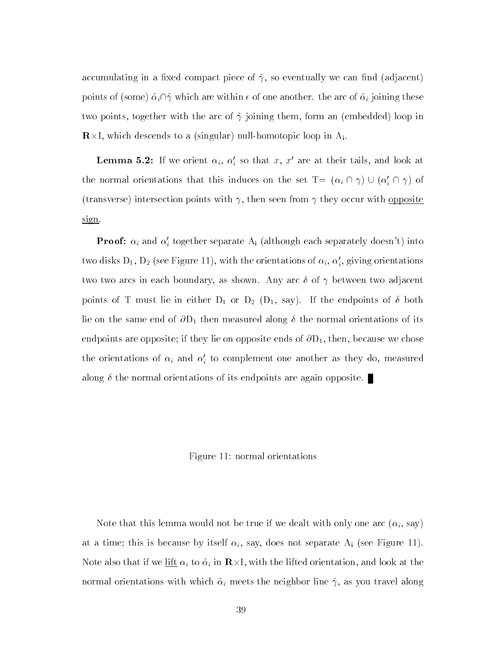accumulating in a fixed compact piece of  $\tilde{\gamma}$ , so eventually we can find (adjacent) points of (some)  $\tilde{\alpha}_i \cap \tilde{\gamma}$  which are within  $\epsilon$  of one another. the arc of  $\tilde{\alpha}_i$  joining these two points, together with the arc of  $\tilde{\gamma}$  joining them, form an (embedded) loop in  $\mathbf{R} \times I$ , which descends to a (singular) null-homotopic loop in  $A_i$ .

**Lemma 5.2:** If we orient  $\alpha_i$ ,  $\alpha_i$  so that  $x$ ,  $x$  are at their tails, and look at the normal orientations that this induces on the set  $T = (\alpha_i \cap \gamma) \cup (\alpha'_i \cap \gamma)$  of (transverse) intersection points with  $\gamma$ , then seen from  $\gamma$  they occur with opposite sign.

**Proof:**  $\alpha_i$  and  $\alpha'_i$  together separate  $\mathrm{A_i}$  (although each separately doesn't) into two disks  $D_1, \, D_2$  (see Figure 11), with the orientations of  $\alpha_i, \, \alpha_i,$  giving orientations two two arcs in each boundary, as shown. Any arc  $\delta$  of  $\gamma$  between two adjacent points of T must lie in either  $D_1$  or  $D_2$  ( $D_1$ , say). If the endpoints of  $\delta$  both lie on the same end of  $\partial D_1$  then measured along  $\delta$  the normal orientations of its endpoints are opposite; if they lie on opposite ends of  $\partial D_1$ , then, because we chose the orientations of  $\alpha_i$  and  $\alpha_i$  to complement one another as they do, measured along  $\delta$  the normal orientations of its endpoints are again opposite.

### Figure 11: normal orientations

Note that this lemma would not be true if we dealt with only one arc  $(\alpha_i, \text{say})$ at a time; this is because by itself  $\alpha_i$ , say, does not separate A<sub>i</sub> (see Figure 11). Note also that if we <u>lift</u>  $\alpha_i$  to  $\tilde{\alpha}_i$  in  ${\bf R}\times$ I, with the lifted orientation, and look at the normal orientations with which  $\tilde{\alpha}_i$  meets the neighbor line  $\tilde{\gamma}$ , as you travel along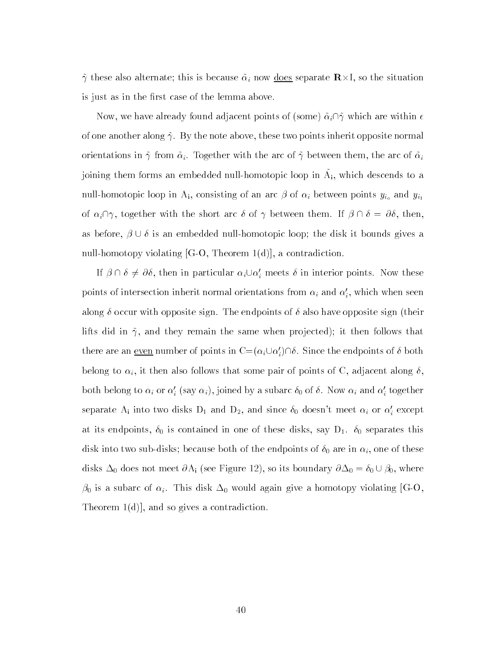$\tilde{\gamma}$  these also alternate; this is because  $\tilde{\alpha}_i$  now <u>does</u> separate  $\mathbf{R}\times\mathbf{I}$ , so the situation is just as in the first case of the lemma above.

Now, we have already found adjacent points of (some)  $\tilde{\alpha}_i \cap \tilde{\gamma}$  which are within  $\epsilon$ of one another along  $\tilde{\gamma}$ . By the note above, these two points inherit opposite normal orientations in  $\tilde{\gamma}$  from  $\tilde{\alpha}_i$ . Together with the arc of  $\tilde{\gamma}$  between them, the arc of  $\tilde{\alpha}_i$ joining them forms an embedded null-homotopic loop in A~ i, which descends to a null-homotopic loop in A<sub>i</sub>, consisting of an arc  $\beta$  of  $\alpha_i$  between points  $y_{i_o}$  and  $y_{i_1}$ of  $\alpha_i \cap \gamma$ , together with the short arc  $\delta$  of  $\gamma$  between them. If  $\beta \cap \delta = \partial \delta$ , then, as before,  $\beta \cup \delta$  is an embedded null-homotopic loop; the disk it bounds gives a null-homotopy violating  $[G-O, Theorem 1(d)]$ , a contradiction.

If  $\beta \cap \delta \neq \partial \delta$ , then in particular  $\alpha_i \cup \alpha'_i$  meets  $\delta$  in interior points. Now these points of intersection inherit normal orientations from  $\alpha_i$  and  $\alpha_i,$  which when seen along  $\delta$  occur with opposite sign. The endpoints of  $\delta$  also have opposite sign (their lifts did in  $\tilde{\gamma}$ , and they remain the same when projected); it then follows that there are an <u>even</u> number of points in  $\rm C{=}\,(\alpha_i \cup \alpha'_i)\cap \delta$  . Since the endpoints of  $\delta$  both belong to  $\alpha_i$ , it then also follows that some pair of points of C, adjacent along  $\delta$ , both belong to  $\alpha_i$  or  $\alpha_i$  (say  $\alpha_i$ ), joined by a subarc  $\sigma_0$  of  $o$  . Now  $\alpha_i$  and  $\alpha_i$  together separate  $\rm A_i$  into two disks  $\rm D_1$  and  $\rm D_2,$  and since  $\delta_0$  doesn't meet  $\alpha_i$  or  $\alpha'_i$  except at its endpoints,  $\delta_0$  is contained in one of these disks, say  $D_1$ .  $\delta_0$  separates this disk into two sub-disks; because both of the endpoints of  $\delta_0$  are in  $\alpha_i$ , one of these disks  $\Delta_0$  does not meet  $\partial A_i$  (see Figure 12), so its boundary  $\partial \Delta_0 = \delta_0 \cup \beta_0$ , where  $\beta_0$  is a subarc of  $\alpha_i$ . This disk  $\Delta_0$  would again give a homotopy violating [G-O, Theorem 1(d)], and so gives a contradiction.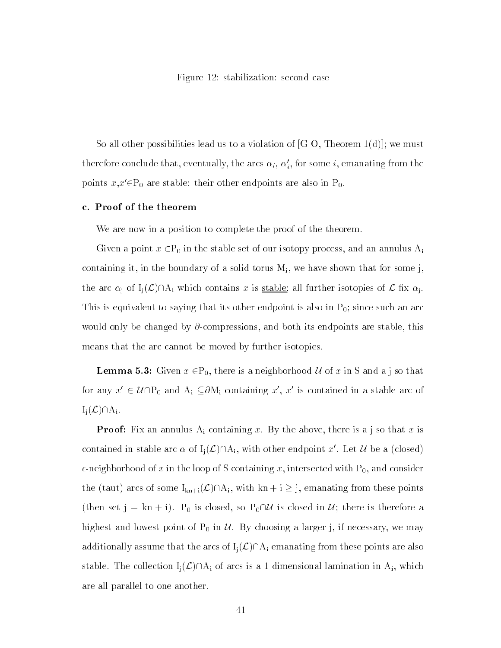Figure 12: stabilization: second case

So all other possibilities lead us to a violation of  $[G-O, Theorem 1(d)]$ ; we must therefore conclude that, eventually, the arcs  $\alpha_i,\,\alpha_i,$  for some  $i,$  emanating from the points  $x, x' \in P_0$  are stable: their other endpoints are also in  $P_0$ .

# c. Proof of the theorem

We are now in a position to complete the proof of the theorem.

Given a point  $x \in P_0$  in the stable set of our isotopy process, and an annulus  $A_i$ containing it, in the boundary of a solid torus  $M_i$ , we have shown that for some j, the arc  $\alpha_i$  of  $I_i(\mathcal{L})\cap A_i$  which contains x is stable; all further isotopies of  $\mathcal{L}$  fix  $\alpha_i$ . This is equivalent to saying that its other endpoint is also in  $P_0$ ; since such an arc would only be changed by  $\partial$ -compressions, and both its endpoints are stable, this means that the arc cannot be moved by further isotopies.

**Lemma 5.3:** Given  $x \in \mathbb{P}_0$ , there is a neighborhood U of x in S and a j so that for any  $x' \in \mathcal{U} \cap P_0$  and  $A_i \subseteq \partial M_i$  containing  $x', x'$  is contained in a stable arc of  $I_i(\mathcal{L}) \cap A_i$ .

**Proof:** Fix an annulus  $A_i$  containing x. By the above, there is a j so that x is contained in stable arc  $\alpha$  of  $I_j(\mathcal{L})\cap A_i$ , with other endpoint x'. Let U be a (closed)  $\epsilon$ -neighborhood of x in the loop of S containing x, intersected with P<sub>0</sub>, and consider the (taut) arcs of some  $I_{kn+i}(\mathcal{L})\cap A_i$ , with  $kn + i \geq j$ , emanating from these points (then set  $j = kn + i$ ).  $P_0$  is closed, so  $P_0 \cap U$  is closed in U; there is therefore a highest and lowest point of  $P_0$  in  $\mathcal U$ . By choosing a larger j, if necessary, we may additionally assume that the arcs of  $I_i(\mathcal{L})\cap A_i$  emanating from these points are also stable. The collection  $I_i(\mathcal{L})\cap A_i$  of arcs is a 1-dimensional lamination in  $A_i$ , which are all parallel to one another.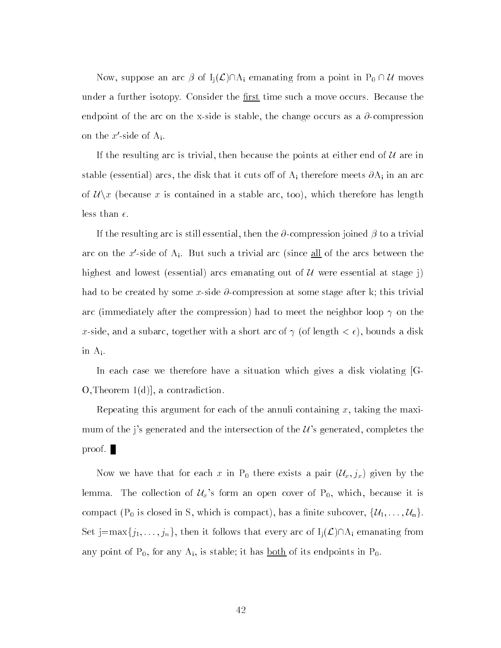Now, suppose an arc  $\beta$  of  $I_j(\mathcal{L}) \cap A_i$  emanating from a point in  $P_0 \cap \mathcal{U}$  moves under a further isotopy. Consider the <u>first</u> time such a move occurs. Because the endpoint of the arc on the x-side is stable, the change occurs as a  $\partial$ -compression on the  $x'$ -side of  $A_i$ .

If the resulting arc is trivial, then because the points at either end of  $\mathcal U$  are in stable (essenting) arcs, the disk that it cuts of Ai there are  $\sim$   $\sim$ stable (essential) arcs, the disk that it cuts off of  $A_i$  therefore meets  $\partial A_i$  in an arc<br>of  $\mathcal{U}\backslash x$  (because x is contained in a stable arc, too), which therefore has length less than  $\epsilon$ .

If the resulting arc is still essential, then the  $\partial$ -compression joined  $\beta$  to a trivial arc on the x'-side of  $A_i$ . But such a trivial arc (since all of the arcs between the highest and lowest (essential) arcs emanating out of  $U$  were essential at stage j) had to be created by some x-side  $\partial$ -compression at some stage after k; this trivial arc (immediately after the compression) had to meet the neighbor loop  $\gamma$  on the x-side, and a subarc, together with a short arc of  $\gamma$  (of length  $\lt \epsilon$ ), bounds a disk in Ai.

In each case we therefore have a situation which gives a disk violating  $|G-$ O,Theorem 1(d)], a contradiction.

Repeating this argument for each of the annuli containing x, taking the maximum of the j's generated and the intersection of the  $\mathcal{U}$ 's generated, completes the proof.

Now we have that for each x in P<sub>0</sub> there exists a pair  $(\mathcal{U}_x, j_x)$  given by the lemma. The collection of  $\mathcal{U}_x$ 's form an open cover of  $P_0$ , which, because it is compact ( $P_0$  is closed in S, which is compact), has a finite subcover,  $\{\mathcal{U}_1,\ldots,\mathcal{U}_n\}$ . Set j=max $\{j_1,\ldots,j_n\}$ , then it follows that every arc of  $I_j(\mathcal{L})\cap A_i$  emanating from any point of  $P_0$ , for any  $A_i$ , is stable; it has <u>both</u> of its endpoints in  $P_0$ .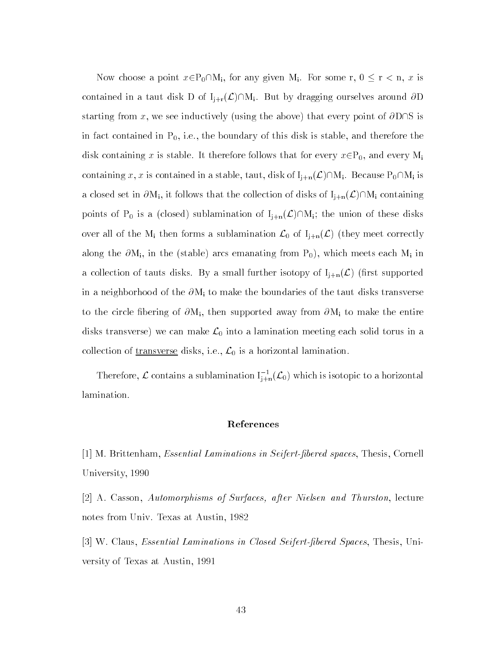Now choose a point  $x \in P_0 \cap M_i$ , for any given M<sub>i</sub>. For some r,  $0 \le r < n$ , x is contained in a taut disk D of  $I_{j+r}(\mathcal{L})\cap M_i$ . But by dragging ourselves around  $\partial D$ starting from x, we see inductively (using the above) that every point of  $\partial D\cap S$  is in fact contained in  $P_0$ , i.e., the boundary of this disk is stable, and therefore the disk containing x is stable. It therefore follows that for every  $x \in P_0$ , and every  $M_i$ containing x, x is contained in a stable, taut, disk of  $I_{j+n}(\mathcal{L})\cap M_i$ . Because  $P_0\cap M_i$  is a closed set in  $\partial M_i$ , it follows that the collection of disks of  $I_{j+n}(\mathcal{L})\cap M_i$  containing points of P<sub>0</sub> is a (closed) sublamination of  $I_{j+n}(\mathcal{L})\cap M_i$ ; the union of these disks over all of the M<sub>i</sub> then forms a sublamination  $\mathcal{L}_0$  of  $I_{j+n}(\mathcal{L})$  (they meet correctly along the  $\partial M_i$ , in the (stable) arcs emanating from  $P_0$ ), which meets each  $M_i$  in a collection of tauts disks. By a small further isotopy of  $I_{j+n}(\mathcal{L})$  (first supported in a neighborhood of the  $\partial M_i$  to make the boundaries of the taut disks transverse to the circle fibering of  $\partial M_i$ , then supported away from  $\partial M_i$  to make the entire disks transverse) we can make  $\mathcal{L}_0$  into a lamination meeting each solid torus in a collection of <u>transverse</u> disks, i.e.,  $\mathcal{L}_0$  is a horizontal lamination.

Therefore,  $\mathcal L$  contains a sublamination  $I_{i+n}^{-1}(\mathcal L_0)$  which is isotopic to a horizontal lamination.

# References

[1] M. Brittenham, Essential Laminations in Seifert-bered spaces, Thesis, Cornell University, 1990

[2] A. Casson, Automorphisms of Surfaces, after Nielsen and Thurston, lecture notes from Univ. Texas at Austin, 1982

[3] W. Claus, Essential Laminations in Closed Seifert-bered Spaces, Thesis, University of Texas at Austin, 1991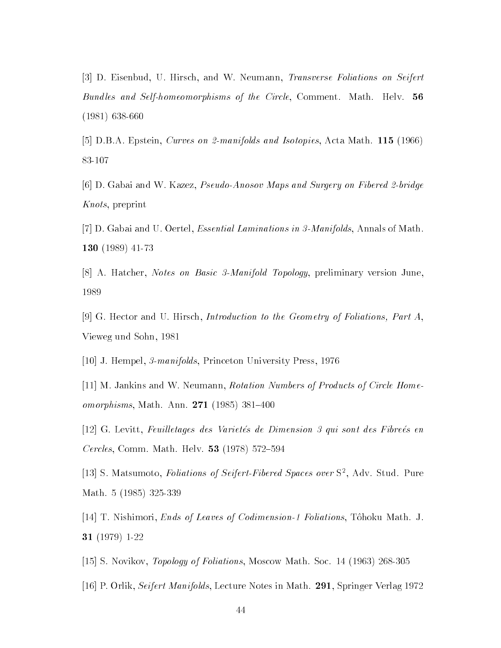[3] D. Eisenbud, U. Hirsch, and W. Neumann, Transverse Foliations on Seifert Bundles and Self-homeomorphisms of the Circle, Comment. Math. Helv. 56 (1981) 638-660

[5] D.B.A. Epstein, Curves on 2-manifolds and Isotopies, Acta Math. 115 (1966) 83-107

[6] D. Gabai and W. Kazez, Pseudo-Anosov Maps and Surgery on Fibered 2-bridge Knots, preprint

- [7] D. Gabai and U. Oertel, Essential Laminations in 3-Manifolds, Annals of Math. 130 (1989) 41-73
- [8] A. Hatcher, Notes on Basic 3-Manifold Topology, preliminary version June, 1989

[9] G. Hector and U. Hirsch, Introduction to the Geometry of Foliations, Part A, Vieweg und Sohn, 1981

[10] J. Hempel, 3-manifolds, Princeton University Press, 1976

[11] M. Jankins and W. Neumann, Rotation Numbers of Products of Circle Homeomorphisms, Math. Ann.  $271$  (1985) 381-400

[12] G. Levitt, Feuilletages des Varietés de Dimension 3 qui sont des Fibreés en *Cercles*, Comm. Math. Helv. **53** (1978) 572-594

 $|13|$  S. Matsumoto, *Foliations of Seifert-Fibered Spaces over* S , Adv. Stud. Pure Math. 5 (1985) 325-339

[14] T. Nishimori, Ends of Leaves of Codimension-1 Foliations, T^ohoku Math. J. 31 (1979) 1-22

[15] S. Novikov, Topology of Foliations, Moscow Math. Soc. 14 (1963) 268-305

[16] P. Orlik, Seifert Manifolds, Lecture Notes in Math. 291, Springer Verlag 1972